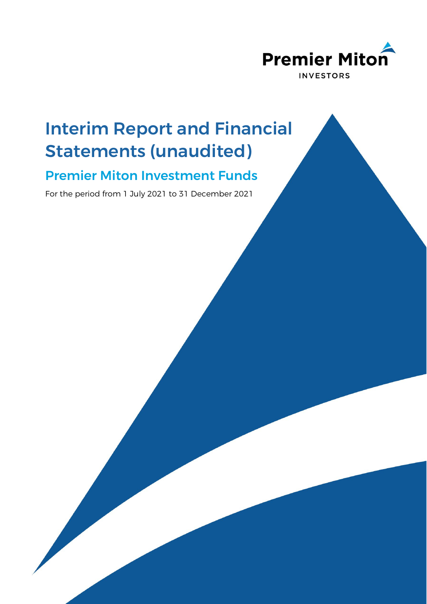

# Interim Report and Financial Statements (unaudited)

# Premier Miton Investment Funds

For the period from 1 July 2021 to 31 December 2021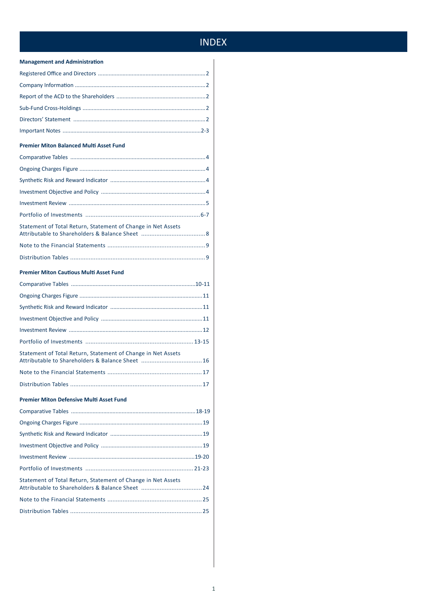# **INDEX**

#### **Management and Administration**

#### **Premier Miton Balanced Multi Asset Fund**

| Statement of Total Return, Statement of Change in Net Assets |  |
|--------------------------------------------------------------|--|
|                                                              |  |
|                                                              |  |

#### **Premier Miton Cautious Multi Asset Fund**

| Statement of Total Return, Statement of Change in Net Assets |
|--------------------------------------------------------------|
|                                                              |

#### Premier Miton Defensive Multi Asset Fund

| Statement of Total Return, Statement of Change in Net Assets |  |
|--------------------------------------------------------------|--|
|                                                              |  |
|                                                              |  |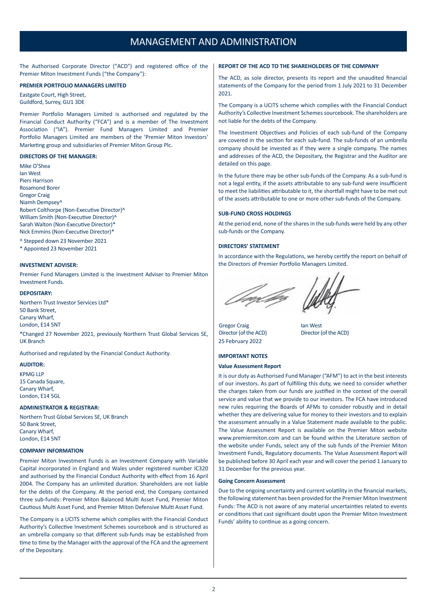### MANAGEMENT AND ADMINISTRATION

<span id="page-2-0"></span>The Authorised Corporate Director ("ACD") and registered office of the Premier Miton Investment Funds ("the Company"):

#### **PREMIER PORTFOLIO MANAGERS LIMITED**

Eastgate Court, High Street, Guildford, Surrey, GU1 3DE

Premier Portfolio Managers Limited is authorised and regulated by the Financial Conduct Authority ("FCA") and is a member of The Investment Association ("IA"). Premier Fund Managers Limited and Premier Portfolio Managers Limited are members of the 'Premier Miton Investors' Marketing group and subsidiaries of Premier Miton Group Plc.

#### **DIRECTORS OF THE MANAGER:**

Mike O'Shea Ian West Piers Harrison Rosamond Borer Gregor Craig Niamh Dempsey^ Robert Colthorpe (Non-Executive Director)^ William Smith (Non-Executive Director)^ Sarah Walton (Non-Executive Director)\* Nick Emmins (Non-Executive Director)\*

^ Stepped down 23 November 2021

\* Appointed 23 November 2021

#### **INVESTMENT ADVISER:**

Premier Fund Managers Limited is the Investment Adviser to Premier Miton Investment Funds.

#### **DEPOSITARY:**

Northern Trust Investor Services Ltd\* 50 Bank Street, Canary Wharf, London, E14 5NT

\*Changed 27 November 2021, previously Northern Trust Global Services SE, UK Branch

Authorised and regulated by the Financial Conduct Authority.

#### **AUDITOR:**

KPMG LLP 15 Canada Square, Canary Wharf, London, E14 5GL

#### **ADMINISTRATOR & REGISTRAR:**

Northern Trust Global Services SE, UK Branch 50 Bank Street, Canary Wharf, London, E14 5NT

#### **COMPANY INFORMATION**

Premier Miton Investment Funds is an Investment Company with Variable Capital incorporated in England and Wales under registered number IC320 and authorised by the Financial Conduct Authority with effect from 16 April 2004. The Company has an unlimited duration. Shareholders are not liable for the debts of the Company. At the period end, the Company contained three sub-funds: Premier Miton Balanced Multi Asset Fund, Premier Miton Cautious Multi Asset Fund, and Premier Miton Defensive Multi Asset Fund.

The Company is a UCITS scheme which complies with the Financial Conduct Authority's Collective Investment Schemes sourcebook and is structured as an umbrella company so that different sub-funds may be established from time to time by the Manager with the approval of the FCA and the agreement of the Depositary.

#### **REPORT OF THE ACD TO THE SHAREHOLDERS OF THE COMPANY**

The ACD, as sole director, presents its report and the unaudited financial statements of the Company for the period from 1 July 2021 to 31 December 2021.

The Company is a UCITS scheme which complies with the Financial Conduct Authority's Collective Investment Schemes sourcebook. The shareholders are not liable for the debts of the Company.

The Investment Objectives and Policies of each sub-fund of the Company are covered in the section for each sub-fund. The sub-funds of an umbrella company should be invested as if they were a single company. The names and addresses of the ACD, the Depositary, the Registrar and the Auditor are detailed on this page.

In the future there may be other sub-funds of the Company. As a sub-fund is not a legal entity, if the assets attributable to any sub-fund were insufficient to meet the liabilities attributable to it, the shortfall might have to be met out of the assets attributable to one or more other sub-funds of the Company.

#### **SUB-FUND CROSS HOLDINGS**

At the period end, none of the shares in the sub-funds were held by any other sub-funds or the Company.

#### **DIRECTORS' STATEMENT**

In accordance with the Regulations, we hereby certify the report on behalf of the Directors of Premier Portfolio Managers Limited.

Gregor Craig **Ian West** Director (of the ACD) Director (of the ACD) 25 February 2022

#### **IMPORTANT NOTES**

#### **Value Assessment Report**

It is our duty as Authorised Fund Manager ("AFM") to act in the best interests of our investors. As part of fulfilling this duty, we need to consider whether the charges taken from our funds are justified in the context of the overall service and value that we provide to our investors. The FCA have introduced new rules requiring the Boards of AFMs to consider robustly and in detail whether they are delivering value for money to their investors and to explain the assessment annually in a Value Statement made available to the public. The Value Assessment Report is available on the Premier Miton website www.premiermiton.com and can be found within the Literature section of the website under Funds, select any of the sub funds of the Premier Miton Investment Funds, Regulatory documents. The Value Assessment Report will be published before 30 April each year and will cover the period 1 January to 31 December for the previous year.

#### **Going Concern Assessment**

Due to the ongoing uncertainty and current volatility in the financial markets, the following statement has been provided for the Premier Miton Investment Funds: The ACD is not aware of any material uncertainties related to events or conditions that cast significant doubt upon the Premier Miton Investment Funds' ability to continue as a going concern.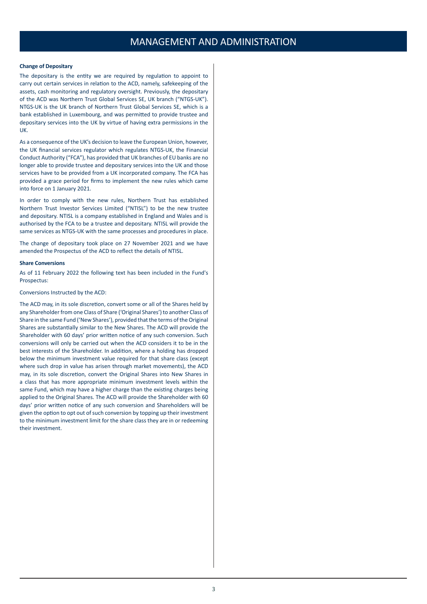# MANAGEMENT AND ADMINISTRATION

#### **Change of Depositary**

The depositary is the entity we are required by regulation to appoint to carry out certain services in relation to the ACD, namely, safekeeping of the assets, cash monitoring and regulatory oversight. Previously, the depositary of the ACD was Northern Trust Global Services SE, UK branch ("NTGS-UK"). NTGS-UK is the UK branch of Northern Trust Global Services SE, which is a bank established in Luxembourg, and was permitted to provide trustee and depositary services into the UK by virtue of having extra permissions in the UK.

As a consequence of the UK's decision to leave the European Union, however, the UK financial services regulator which regulates NTGS-UK, the Financial Conduct Authority ("FCA"), has provided that UK branches of EU banks are no longer able to provide trustee and depositary services into the UK and those services have to be provided from a UK incorporated company. The FCA has provided a grace period for firms to implement the new rules which came into force on 1 January 2021.

In order to comply with the new rules, Northern Trust has established Northern Trust Investor Services Limited ("NTISL") to be the new trustee and depositary. NTISL is a company established in England and Wales and is authorised by the FCA to be a trustee and depositary. NTISL will provide the same services as NTGS-UK with the same processes and procedures in place.

The change of depositary took place on 27 November 2021 and we have amended the Prospectus of the ACD to reflect the details of NTISL.

#### **Share Conversions**

As of 11 February 2022 the following text has been included in the Fund's Prospectus:

#### Conversions Instructed by the ACD:

The ACD may, in its sole discretion, convert some or all of the Shares held by any Shareholder from one Class of Share ('Original Shares') to another Class of Share in the same Fund ('New Shares'), provided that the terms of the Original Shares are substantially similar to the New Shares. The ACD will provide the Shareholder with 60 days' prior written notice of any such conversion. Such conversions will only be carried out when the ACD considers it to be in the best interests of the Shareholder. In addition, where a holding has dropped below the minimum investment value required for that share class (except where such drop in value has arisen through market movements), the ACD may, in its sole discretion, convert the Original Shares into New Shares in a class that has more appropriate minimum investment levels within the same Fund, which may have a higher charge than the existing charges being applied to the Original Shares. The ACD will provide the Shareholder with 60 days' prior written notice of any such conversion and Shareholders will be given the option to opt out of such conversion by topping up their investment to the minimum investment limit for the share class they are in or redeeming their investment.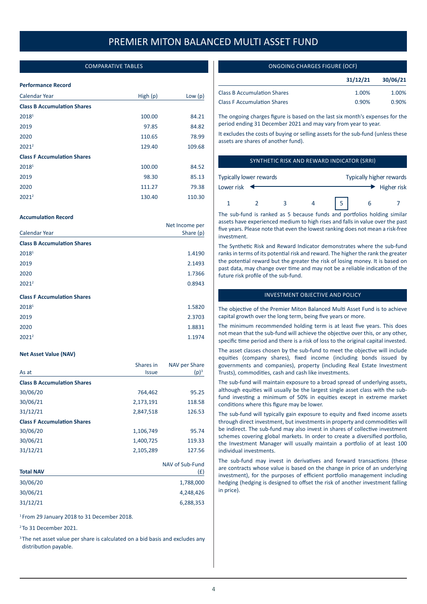#### COMPARATIVE TABLES

#### <span id="page-4-0"></span>**Performance Record**

| Calendar Year                      | High $(p)$ | Low $(p)$ |
|------------------------------------|------------|-----------|
| <b>Class B Accumulation Shares</b> |            |           |
| 20181                              | 100.00     | 84.21     |
| 2019                               | 97.85      | 84.82     |
| 2020                               | 110.65     | 78.99     |
| $2021^2$                           | 129.40     | 109.68    |
| <b>Class F Accumulation Shares</b> |            |           |
| 20181                              | 100.00     | 84.52     |
| 2019                               | 98.30      | 85.13     |
| 2020                               | 111.27     | 79.38     |
| 2021 <sup>2</sup>                  | 130.40     | 110.30    |

#### **Accumulation Record**

|                                    | Net Income per |
|------------------------------------|----------------|
| Calendar Year                      | Share (p)      |
| <b>Class B Accumulation Shares</b> |                |
| 2018 <sup>1</sup>                  | 1.4190         |
| 2019                               | 2.1493         |
| 2020                               | 1.7366         |
| $2021^2$                           | 0.8943         |
| <b>Class F Accumulation Shares</b> |                |
| 20181                              | 1.5820         |
| 2019                               | 2.3703         |
| 2020                               | 1.8831         |

 $2021^2$  1.1974

#### **Net Asset Value (NAV)**

|                                    | Shares in    | NAV per Share   |
|------------------------------------|--------------|-----------------|
| As at                              | <b>Issue</b> | $(p)^3$         |
| <b>Class B Accumulation Shares</b> |              |                 |
| 30/06/20                           | 764,462      | 95.25           |
| 30/06/21                           | 2,173,191    | 118.58          |
| 31/12/21                           | 2,847,518    | 126.53          |
| <b>Class F Accumulation Shares</b> |              |                 |
| 30/06/20                           | 1,106,749    | 95.74           |
| 30/06/21                           | 1,400,725    | 119.33          |
| 31/12/21                           | 2,105,289    | 127.56          |
|                                    |              | NAV of Sub-Fund |

| <b>Total NAV</b> | 19/19 UI JUN 1 UIIU<br>(£) |
|------------------|----------------------------|
| 30/06/20         | 1,788,000                  |
| 30/06/21         | 4,248,426                  |
| 31/12/21         | 6,288,353                  |
|                  |                            |

<sup>1</sup> From 29 January 2018 to 31 December 2018.

<sup>2</sup> To 31 December 2021.

<sup>3</sup> The net asset value per share is calculated on a bid basis and excludes any distribution payable.

#### ONGOING CHARGES FIGURE (OCF)

|                                    | 31/12/21 | 30/06/21 |
|------------------------------------|----------|----------|
| <b>Class B Accumulation Shares</b> | 1.00%    | 1.00%    |
| <b>Class F Accumulation Shares</b> | 0.90%    | $0.90\%$ |

The ongoing charges figure is based on the last six month's expenses for the period ending 31 December 2021 and may vary from year to year.

It excludes the costs of buying or selling assets for the sub-fund (unless these assets are shares of another fund).

#### SYNTHETIC RISK AND REWARD INDICATOR (SRRI)

| Typically lower rewards |  | Typically higher rewards |  |             |  |  |
|-------------------------|--|--------------------------|--|-------------|--|--|
| Lower risk              |  |                          |  | Higher risk |  |  |
|                         |  |                          |  | ь           |  |  |

The sub-fund is ranked as 5 because funds and portfolios holding similar assets have experienced medium to high rises and falls in value over the past five years. Please note that even the lowest ranking does not mean a risk-free investment.

The Synthetic Risk and Reward Indicator demonstrates where the sub-fund ranks in terms of its potential risk and reward. The higher the rank the greater the potential reward but the greater the risk of losing money. It is based on past data, may change over time and may not be a reliable indication of the future risk profile of the sub-fund.

#### INVESTMENT OBJECTIVE AND POLICY

The objective of the Premier Miton Balanced Multi Asset Fund is to achieve capital growth over the long term, being five years or more.

The minimum recommended holding term is at least five years. This does not mean that the sub-fund will achieve the objective over this, or any other, specific time period and there is a risk of loss to the original capital invested.

The asset classes chosen by the sub-fund to meet the objective will include equities (company shares), fixed income (including bonds issued by governments and companies), property (including Real Estate Investment Trusts), commodities, cash and cash like investments.

The sub-fund will maintain exposure to a broad spread of underlying assets, although equities will usually be the largest single asset class with the subfund investing a minimum of 50% in equities except in extreme market conditions where this figure may be lower.

The sub-fund will typically gain exposure to equity and fixed income assets through direct investment, but investments in property and commodities will be indirect. The sub-fund may also invest in shares of collective investment schemes covering global markets. In order to create a diversified portfolio, the Investment Manager will usually maintain a portfolio of at least 100 individual investments.

The sub-fund may invest in derivatives and forward transactions (these are contracts whose value is based on the change in price of an underlying investment), for the purposes of efficient portfolio management including hedging (hedging is designed to offset the risk of another investment falling in price).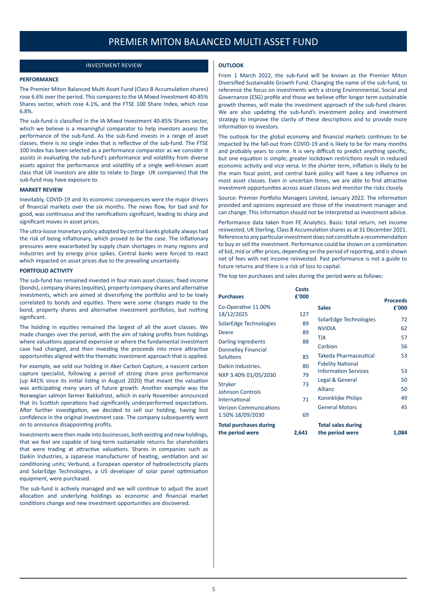#### INVESTMENT REVIEW

#### **OUTLOOK**

#### <span id="page-5-0"></span>**PERFORMANCE**

The Premier Miton Balanced Multi Asset Fund (Class B Accumulation shares) rose 6.6% over the period. This compares to the IA Mixed Investment 40-85% Shares sector, which rose 4.1%, and the FTSE 100 Share Index, which rose 6.8%.

The sub-fund is classified in the IA Mixed Investment 40-85% Shares sector, which we believe is a meaningful comparator to help investors assess the performance of the sub-fund. As the sub-fund invests in a range of asset classes, there is no single index that is reflective of the sub-fund. The FTSE 100 Index has been selected as a performance comparator as we consider it assists in evaluating the sub-fund's performance and volatility from diverse assets against the performance and volatility of a single well-known asset class that UK investors are able to relate to (large UK companies) that the sub-fund may have exposure to.

#### **MARKET REVIEW**

Inevitably, COVID-19 and its economic consequences were the major drivers of financial markets over the six months. The news flow, for bad and for good, was continuous and the ramifications significant, leading to sharp and significant moves in asset prices.

The ultra-loose monetary policy adopted by central banks globally always had the risk of being inflationary, which proved to be the case. The inflationary pressures were exacerbated by supply chain shortages in many regions and industries and by energy price spikes. Central banks were forced to react which impacted on asset prices due to the prevailing uncertainty.

#### **PORTFOLIO ACTIVITY**

The sub-fund has remained invested in four main asset classes; fixed income (bonds), company shares (equities), property company shares and alternative investments, which are aimed at diversifying the portfolio and to be lowly correlated to bonds and equities. There were some changes made to the bond, property shares and alternative investment portfolios, but nothing significant.

The holding in equities remained the largest of all the asset classes. We made changes over the period, with the aim of taking profits from holdings where valuations appeared expensive or where the fundamental investment case had changed, and then investing the proceeds into more attractive opportunities aligned with the thematic investment approach that is applied.

For example, we sold our holding in Aker Carbon Capture, a nascent carbon capture specialist, following a period of strong share price performance (up 441% since its initial listing in August 2020) that meant the valuation was anticipating many years of future growth. Another example was the Norwegian salmon farmer Bakkafrost, which in early November announced that its Scottish operations had significantly underperformed expectations. After further investigation, we decided to sell our holding, having lost confidence in the original investment case. The company subsequently went on to announce disappointing profits.

Investments were then made into businesses, both existing and new holdings, that we feel are capable of long-term sustainable returns for shareholders that were trading at attractive valuations. Shares in companies such as Daikin Industries, a Japanese manufacturer of heating, ventilation and air conditioning units; Verbund, a European operator of hydroelectricity plants and SolarEdge Technologies, a US developer of solar panel optimisation equipment, were purchased.

The sub-fund is actively managed and we will continue to adjust the asset allocation and underlying holdings as economic and financial market conditions change and new investment opportunities are discovered.

From 1 March 2022, the sub-fund will be known as the Premier Miton Diversified Sustainable Growth Fund. Changing the name of the sub-fund, to reference the focus on investments with a strong Environmental, Social and Governance (ESG) profile and those we believe offer longer term sustainable growth themes, will make the investment approach of the sub-fund clearer. We are also updating the sub-fund's investment policy and investment strategy to improve the clarity of these descriptions and to provide more information to investors.

The outlook for the global economy and financial markets continues to be impacted by the fall-out from COVID-19 and is likely to be for many months and probably years to come. It is very difficult to predict anything specific, but one equation is simple; greater lockdown restrictions result in reduced economic activity and vice versa. In the shorter term, inflation is likely to be the main focal point, and central bank policy will have a key influence on most asset classes. Even in uncertain times, we are able to find attractive investment opportunities across asset classes and monitor the risks closely.

Source: Premier Portfolio Managers Limited, January 2022. The information provided and opinions expressed are those of the investment manager and can change. This information should not be interpreted as investment advice.

Performance data taken from FE Analytics. Basis: total return, net income reinvested, UK Sterling, Class B Accumulation shares as at 31 December 2021. Reference to any particular investment does not constitute a recommendation to buy or sell the investment. Performance could be shown on a combination of bid, mid or offer prices, depending on the period of reporting, and is shown net of fees with net income reinvested. Past performance is not a guide to future returns and there is a risk of loss to capital.

The top ten purchases and sales during the period were as follows:

| <b>Purchases</b>                                                   | Costs<br>£'000 |                                                                                  | <b>Proceeds</b> |
|--------------------------------------------------------------------|----------------|----------------------------------------------------------------------------------|-----------------|
| Co-Operative 11.00%<br>18/12/2025                                  | 127            | <b>Sales</b>                                                                     | £'000           |
| SolarEdge Technologies<br>Deere                                    | 89<br>89       | SolarEdge Technologies<br><b>NVIDIA</b><br><b>TJX</b>                            | 72<br>62<br>57  |
| Darling Ingredients<br><b>Donnelley Financial</b>                  | 88             | Corbion                                                                          | 56              |
| Solutions<br>Daikin Industries.                                    | 85<br>80       | Takeda Pharmaceutical<br><b>Fidelity National</b><br><b>Information Services</b> | 53<br>53        |
| NXP 3.40% 01/05/2030<br>Stryker<br><b>Johnson Controls</b>         | 79<br>73       | Legal & General<br>Allianz                                                       | 50<br>50        |
| International<br><b>Verizon Communications</b><br>1.50% 18/09/2030 | 71<br>69       | Koninklijke Philips<br><b>General Motors</b>                                     | 49<br>45        |
| <b>Total purchases during</b><br>the period were                   | 2,641          | <b>Total sales during</b><br>the period were                                     | 1,084           |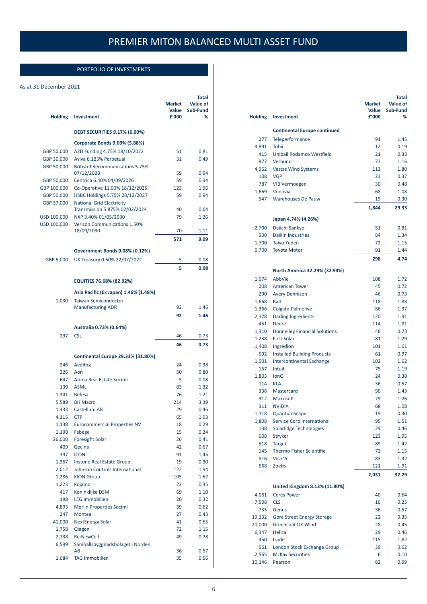J.

### PORTFOLIO OF INVESTMENTS

#### <span id="page-6-0"></span>As at 31 December 2021

| <b>Holding</b> | Investment                                        | <b>Market</b><br>Value<br>£'000 | Total<br><b>Value of</b><br>Sub-Fund<br>% |
|----------------|---------------------------------------------------|---------------------------------|-------------------------------------------|
|                | <b>DEBT SECURITIES 9.17% (6.00%)</b>              |                                 |                                           |
|                | Corporate Bonds 9.09% (5.88%)                     |                                 |                                           |
| GBP 50,000     | A2D Funding 4.75% 18/10/2022                      | 51                              | 0.81                                      |
| GBP 30,000     | Aviva 6.125% Perpetual                            | 31                              | 0.49                                      |
| GBP 50,000     | <b>British Telecommunications 5.75%</b>           |                                 |                                           |
|                | 07/12/2028                                        | 59                              | 0.94                                      |
| GBP 50,000     | Centrica 6.40% 04/09/2026                         | 59                              | 0.94                                      |
| GBP 100,000    | Co-Operative 11.00% 18/12/2025                    | 123                             | 1.96                                      |
| GBP 50,000     | HSBC Holdings 5.75% 20/12/2027                    | 59                              | 0.94                                      |
| GBP 37,000     | <b>National Grid Electricity</b>                  |                                 |                                           |
|                | Transmission 5.875% 02/02/2024                    | 40                              | 0.64                                      |
| USD 100,000    | NXP 3.40% 01/05/2030                              | 79                              | 1.26                                      |
| USD 100,000    | <b>Verizon Communications 1.50%</b><br>18/09/2030 | 70                              | 1.11                                      |
|                |                                                   |                                 | 9.09                                      |
|                |                                                   | 571                             |                                           |
|                | Government Bonds 0.08% (0.12%)                    |                                 |                                           |
| GBP 5,000      | UK Treasury 0.50% 22/07/2022                      | 5                               | 0.08                                      |
|                |                                                   | 5                               | 0.08                                      |
|                | EQUITIES 76.68% (82.92%)                          |                                 |                                           |
|                | Asia Pacific (Ex Japan) 1.46% (1.48%)             |                                 |                                           |
| 1,030          | <b>Taiwan Semiconductor</b>                       |                                 |                                           |
|                | <b>Manufacturing ADR</b>                          | 92                              | 1.46                                      |
|                |                                                   | 92                              | 1.46                                      |
|                | Australia 0.73% (0.64%)                           |                                 |                                           |
| 297            | <b>CSL</b>                                        | 46                              | 0.73                                      |
|                |                                                   | 46                              | 0.73                                      |
|                |                                                   |                                 |                                           |
|                | Continental Europe 29.33% (31.80%)                |                                 |                                           |
| 246            | Aedifica                                          | 24                              | 0.38                                      |
| 226            | Aon                                               | 50                              | 0.80                                      |
| 647            | Arima Real Estate Socimi                          | 5                               | 0.08                                      |
| 139            | <b>ASML</b>                                       | 83                              | 1.32                                      |
| 1,341          | <b>Befesa</b>                                     | 76                              | 1.21                                      |
| 5,589          | <b>BH Macro</b>                                   | 214                             | 3.39                                      |
| 1,433          | Castellum AB                                      | 29                              | 0.46                                      |
| 4,115          | <b>CTP</b>                                        | 65                              | 1.03                                      |
| 1,138          | <b>Eurocommercial Properties NV</b>               | 18                              | 0.29                                      |
| 1,198          | Fabege<br><b>Foresight Solar</b>                  | 15<br>26                        | 0.24<br>0.41                              |
| 26,000<br>409  | Gecina                                            | 42                              | 0.67                                      |
| 397            | <b>ICON</b>                                       | 91                              | 1.45                                      |
| 1,367          | Instone Real Estate Group                         | 19                              | 0.30                                      |
| 2,012          | Johnson Controls International                    | 122                             | 1.94                                      |
| 1,286          | <b>KION Group</b>                                 | 105                             | 1.67                                      |
| 1,223          | Kojamo                                            | 22                              | 0.35                                      |
| 417            | Koninklijke DSM                                   | 69                              | 1.10                                      |
| 198            | <b>LEG Immobilien</b>                             | 20                              | 0.32                                      |
| 4,893          | Merlin Properties Socimi                          | 39                              | 0.62                                      |
| 247            | Montea                                            | 27                              | 0.43                                      |
| 41,000         | <b>NextEnergy Solar</b>                           | 41                              | 0.65                                      |
| 1,758          | Qiagen                                            | 72                              | 1.15                                      |
| 2,738          | Re:NewCell                                        | 49                              | 0.78                                      |
| 6,599          | Samhällsbyggnadsbolaget i Norden                  |                                 |                                           |
|                | AB                                                | 36                              | 0.57                                      |
| 1,684          | <b>TAG Immobilien</b>                             | 35                              | 0.56                                      |

| <b>Holding</b> | <b>Investment</b>                                          | <b>Market</b><br>Value<br>£'000 | Total<br>Value of<br>Sub-Fund<br>% |
|----------------|------------------------------------------------------------|---------------------------------|------------------------------------|
|                | <b>Continental Europe continued</b>                        |                                 |                                    |
| 277            | Teleperformance                                            | 91                              | 1.45                               |
| 3,891          | <b>Tobii</b>                                               | 12                              | 0.19                               |
| 415            | Unibail Rodamco Westfield                                  | 21                              | 0.33                               |
| 877            | Verbund                                                    | 73                              | 1.16                               |
| 4,962          | <b>Vestas Wind Systems</b>                                 | 113                             | 1.80                               |
| 108            | <b>VGP</b>                                                 | 23                              | 0.37                               |
| 787            | <b>VIB Vermoegen</b>                                       | 30                              | 0.48                               |
| 1,669          | Vonovia                                                    | 68                              | 1.08                               |
| 547            | <b>Warehouses De Pauw</b>                                  | 19                              | 0.30                               |
|                |                                                            | 1,844                           | 29.33                              |
|                | Japan 4.74% (4.26%)                                        |                                 |                                    |
| 2,700          | Daiichi Sankyo                                             | 51                              | 0.81                               |
| 500            | <b>Daikin Industries</b>                                   | 84                              | 1.34                               |
| 1,700          | <b>Taiyo Yuden</b>                                         | 72                              | 1.15                               |
| 6,700          | <b>Toyota Motor</b>                                        | 91                              | 1.44                               |
|                |                                                            | 298                             | 4.74                               |
|                | North America 32.29% (32.94%)                              |                                 |                                    |
| 1,074          | AbbVie                                                     | 108                             | 1.72                               |
| 208            | <b>American Tower</b>                                      | 45                              | 0.72                               |
| 290            | <b>Avery Dennison</b>                                      | 46                              | 0.73                               |
| 1,668          | Ball                                                       | 118                             | 1.88                               |
| 1,366          | Colgate-Palmolive                                          | 86                              | 1.37                               |
| 2,378          | <b>Darling Ingredients</b>                                 | 120                             | 1.91<br>1.81                       |
| 451            | <b>Deere</b>                                               | 114<br>46                       | 0.73                               |
| 1,310<br>1,238 | <b>Donnelley Financial Solutions</b><br><b>First Solar</b> | 81                              | 1.29                               |
| 1,408          | Ingredion                                                  | 101                             | 1.61                               |
| 592            | <b>Installed Building Products</b>                         | 61                              | 0.97                               |
| 1,001          | <b>Intercontinental Exchange</b>                           | 102                             | 1.62                               |
| 157            | Intuit                                                     | 75                              | 1.19                               |
| 1,803          | <b>IonQ</b>                                                | 24                              | 0.38                               |
| 114            | <b>KLA</b>                                                 | 36                              | 0.57                               |
| 336            | Mastercard                                                 | 90                              | 1.43                               |
| 312            | Microsoft                                                  | 79                              | 1.26                               |
| 311            | <b>NVIDIA</b>                                              | 68                              | 1.08                               |
| 1,118          | QuantumScape                                               | 19                              | 0.30                               |
| 1,808          | Service Corp International                                 | 95                              | 1.51                               |
| 138            | SolarEdge Technologies                                     | 29                              | 0.46                               |
| 608            | Stryker                                                    | 123                             | 1.95                               |
| 518            | <b>Target</b>                                              | 89                              | 1.42                               |
| 145            | <b>Thermo Fisher Scientific</b>                            | 72                              | 1.15                               |
| 516            | Visa 'A'                                                   | 83                              | 1.32                               |
| 668            | <b>Zoetis</b>                                              | 121                             | 1.91                               |
|                |                                                            | 2,031                           | 32.29                              |
|                | United Kingdom 8.13% (11.80%)                              |                                 |                                    |
| 4,061<br>7,508 | <b>Ceres Power</b><br><b>CLS</b>                           | 40<br>16                        | 0.64<br>0.25                       |
| 735            | Genus                                                      | 36                              | 0.57                               |
| 19,132         | <b>Gore Street Energy Storage</b>                          | 22                              | 0.35                               |
| 20,000         | <b>Greencoat UK Wind</b>                                   | 28                              | 0.45                               |
| 6,347          | <b>Helical</b>                                             | 29                              | 0.46                               |
| 450            | Linde                                                      | 115                             | 1.82                               |
| 561            | London Stock Exchange Group                                | 39                              | 0.62                               |
| 2,565          | <b>McKay Securities</b>                                    | 6                               | 0.10                               |
| 10,146         | Pearson                                                    | 62                              | 0.99                               |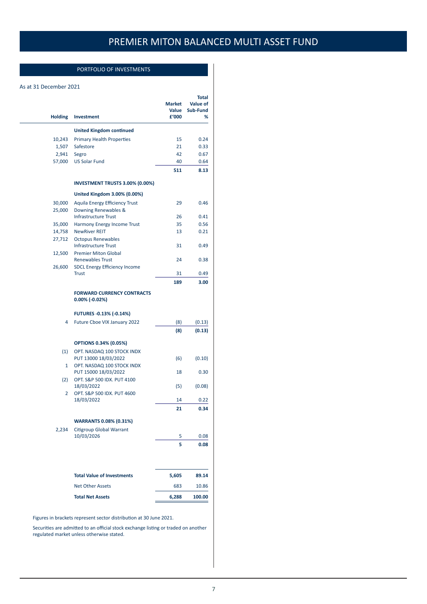### PORTFOLIO OF INVESTMENTS

#### As at 31 December 2021

| <b>Holding</b> | <b>Investment</b>                                      | <b>Market</b><br>Value<br>£'000 | <b>Total</b><br>Value of<br>Sub-Fund<br>% |
|----------------|--------------------------------------------------------|---------------------------------|-------------------------------------------|
|                | <b>United Kingdom continued</b>                        |                                 |                                           |
| 10,243         | <b>Primary Health Properties</b>                       | 15                              | 0.24                                      |
| 1,507          | Safestore                                              | 21                              | 0.33                                      |
| 2,941          | Segro                                                  | 42                              | 0.67                                      |
| 57,000         | <b>US Solar Fund</b>                                   | 40                              | 0.64                                      |
|                |                                                        | 511                             | 8.13                                      |
|                | INVESTMENT TRUSTS 3.00% (0.00%)                        |                                 |                                           |
|                | United Kingdom 3.00% (0.00%)                           |                                 |                                           |
| 30,000         | <b>Aquila Energy Efficiency Trust</b>                  | 29                              | 0.46                                      |
| 25,000         | Downing Renewables &                                   |                                 |                                           |
|                | <b>Infrastructure Trust</b>                            | 26                              | 0.41                                      |
| 35,000         | Harmony Energy Income Trust                            | 35                              | 0.56                                      |
| 14,758         | <b>NewRiver REIT</b>                                   | 13                              | 0.21                                      |
| 27,712         | <b>Octopus Renewables</b>                              |                                 |                                           |
|                | <b>Infrastructure Trust</b>                            | 31                              | 0.49                                      |
| 12,500         | <b>Premier Miton Global</b>                            |                                 |                                           |
|                | <b>Renewables Trust</b>                                | 24                              | 0.38                                      |
| 26,600         | <b>SDCL Energy Efficiency Income</b><br><b>Trust</b>   | 31                              | 0.49                                      |
|                |                                                        | 189                             | 3.00                                      |
|                |                                                        |                                 |                                           |
|                | <b>FORWARD CURRENCY CONTRACTS</b><br>$0.00\%$ (-0.02%) |                                 |                                           |
|                | <b>FUTURES -0.13% (-0.14%)</b>                         |                                 |                                           |
| 4              | Future Cboe VIX January 2022                           | (8)                             | (0.13)                                    |
|                |                                                        | (8)                             | (0.13)                                    |
|                | <b>OPTIONS 0.34% (0.05%)</b>                           |                                 |                                           |
| (1)            | OPT. NASDAQ 100 STOCK INDX                             |                                 |                                           |
|                | PUT 13000 18/03/2022                                   | (6)                             | (0.10)                                    |
| $\mathbf{1}$   | OPT. NASDAQ 100 STOCK INDX                             |                                 |                                           |
|                | PUT 15000 18/03/2022                                   | 18                              | 0.30                                      |
| (2)            | OPT. S&P 500 IDX. PUT 4100                             |                                 |                                           |
|                | 18/03/2022                                             | (5)                             | (0.08)                                    |
| 2              | OPT. S&P 500 IDX. PUT 4600                             |                                 |                                           |
|                | 18/03/2022                                             | 14                              | 0.22                                      |
|                |                                                        | 21                              | 0.34                                      |
|                | <b>WARRANTS 0.08% (0.31%)</b>                          |                                 |                                           |
| 2,234          | <b>Citigroup Global Warrant</b>                        |                                 |                                           |
|                | 10/03/2026                                             | 5                               | 0.08                                      |
|                |                                                        | 5                               | 0.08                                      |
|                |                                                        |                                 |                                           |
|                | <b>Total Value of Investments</b>                      | 5,605                           | 89.14                                     |
|                | <b>Net Other Assets</b>                                | 683                             | 10.86                                     |
|                | <b>Total Net Assets</b>                                | 6,288                           | 100.00                                    |

Figures in brackets represent sector distribution at 30 June 2021.

Securities are admitted to an official stock exchange listing or traded on another regulated market unless otherwise stated.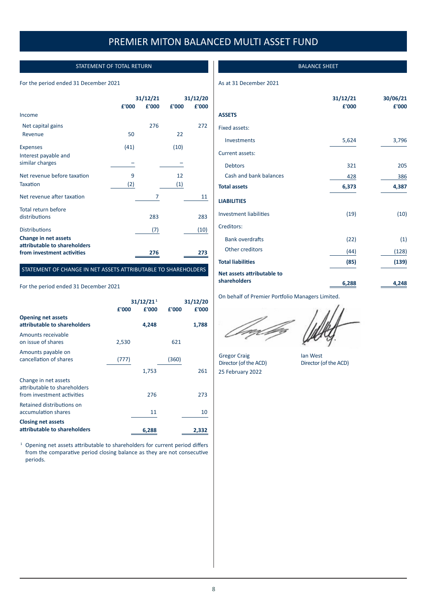### STATEMENT OF TOTAL RETURN

#### <span id="page-8-0"></span>For the period ended 31 December 2021

|                                                      | 31/12/21 |       |                   | 31/12/20 |  |
|------------------------------------------------------|----------|-------|-------------------|----------|--|
|                                                      | £'000    | £'000 | £'000             | £'000    |  |
| Income                                               |          |       |                   |          |  |
| Net capital gains                                    |          | 276   |                   | 272      |  |
| Revenue                                              | 50       |       | 22                |          |  |
| <b>Expenses</b>                                      | (41)     |       | (10)              |          |  |
| Interest payable and<br>similar charges              |          |       |                   |          |  |
| Net revenue before taxation                          | 9        |       | 12                |          |  |
| <b>Taxation</b>                                      | (2)      |       | $\left( 1\right)$ |          |  |
| Net revenue after taxation                           |          | 7     |                   | 11       |  |
| Total return before                                  |          |       |                   |          |  |
| distributions                                        |          | 283   |                   | 283      |  |
| <b>Distributions</b>                                 |          | (7)   |                   | (10)     |  |
| Change in net assets<br>attributable to shareholders |          |       |                   |          |  |
| from investment activities                           |          | 276   |                   | 273      |  |

#### STATEMENT OF CHANGE IN NET ASSETS ATTRIBUTABLE TO SHAREHOLDERS

#### For the period ended 31 December 2021

|                                                                                    | £'000 | 31/12/21 <sup>1</sup><br>£'000 | £'000 | 31/12/20<br>£'000 |
|------------------------------------------------------------------------------------|-------|--------------------------------|-------|-------------------|
| <b>Opening net assets</b><br>attributable to shareholders                          |       | 4,248                          |       | 1,788             |
| Amounts receivable<br>on issue of shares                                           | 2,530 |                                | 621   |                   |
| Amounts payable on<br>cancellation of shares                                       | (777) |                                | (360) |                   |
|                                                                                    |       | 1,753                          |       | 261               |
| Change in net assets<br>attributable to shareholders<br>from investment activities |       | 276                            |       | 273               |
| Retained distributions on<br>accumulation shares                                   |       | 11                             |       | 10                |
| <b>Closing net assets</b><br>attributable to shareholders                          |       | 6,288                          |       | 2,332             |

<sup>1</sup> Opening net assets attributable to shareholders for current period differs from the comparative period closing balance as they are not consecutive periods.

#### BALANCE SHEET

#### As at 31 December 2021

|                               | 31/12/21<br>£'000 | 30/06/21<br>£'000 |
|-------------------------------|-------------------|-------------------|
| <b>ASSETS</b>                 |                   |                   |
| Fixed assets:                 |                   |                   |
| Investments                   | 5,624             | 3,796             |
| Current assets:               |                   |                   |
| <b>Debtors</b>                | 321               | 205               |
| Cash and bank balances        | 428               | 386               |
| <b>Total assets</b>           | 6,373             | 4,387             |
| <b>LIABILITIES</b>            |                   |                   |
| <b>Investment liabilities</b> | (19)              | (10)              |
| Creditors:                    |                   |                   |
| <b>Bank overdrafts</b>        | (22)              | (1)               |
| Other creditors               | (44)              | (128)             |
| <b>Total liabilities</b>      | (85)              | (139)             |
| Net assets attributable to    |                   |                   |
| shareholders                  | 6,288             | 4,248             |

On behalf of Premier Portfolio Managers Limited.

Gregor Craig lan West<br>Director (of the ACD) Director (of the ACD) Director (of the ACD) 25 February 2022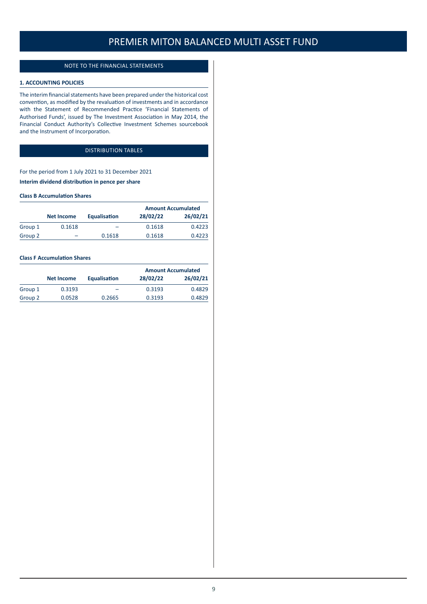#### NOTE TO THE FINANCIAL STATEMENTS

#### <span id="page-9-0"></span>**1. ACCOUNTING POLICIES**

The interim financial statements have been prepared under the historical cost convention, as modified by the revaluation of investments and in accordance with the Statement of Recommended Practice 'Financial Statements of Authorised Funds', issued by The Investment Association in May 2014, the Financial Conduct Authority's Collective Investment Schemes sourcebook and the Instrument of Incorporation.

### DISTRIBUTION TABLES

For the period from 1 July 2021 to 31 December 2021 **Interim dividend distribution in pence per share**

#### **Class B Accumulation Shares**

|         |            |              | <b>Amount Accumulated</b> |          |
|---------|------------|--------------|---------------------------|----------|
|         | Net Income | Equalisation | 28/02/22                  | 26/02/21 |
| Group 1 | 0.1618     | -            | 0.1618                    | 0.4223   |
| Group 2 | -          | 0.1618       | 0.1618                    | 0.4223   |

#### **Class F Accumulation Shares**

|         |                   |              | <b>Amount Accumulated</b> |          |
|---------|-------------------|--------------|---------------------------|----------|
|         | <b>Net Income</b> | Equalisation | 28/02/22                  | 26/02/21 |
| Group 1 | 0.3193            | -            | 0.3193                    | 0.4829   |
| Group 2 | 0.0528            | 0.2665       | 0.3193                    | 0.4829   |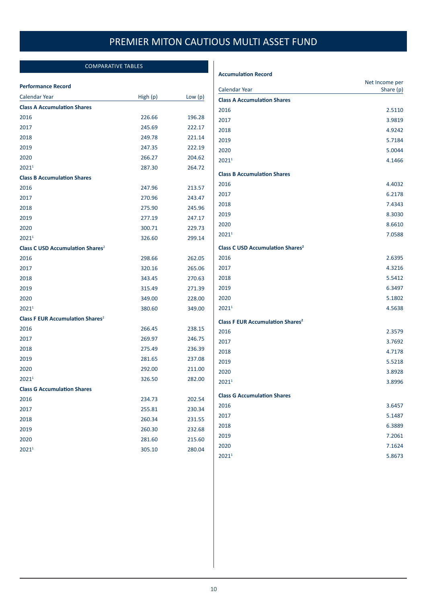### COMPARATIVE TABLES

#### <span id="page-10-0"></span>**Performance Record**

| Calendar Year                                      | High (p) | Low $(p)$ |
|----------------------------------------------------|----------|-----------|
| <b>Class A Accumulation Shares</b>                 |          |           |
| 2016                                               | 226.66   | 196.28    |
| 2017                                               | 245.69   | 222.17    |
| 2018                                               | 249.78   | 221.14    |
| 2019                                               | 247.35   | 222.19    |
| 2020                                               | 266.27   | 204.62    |
| 20211                                              | 287.30   | 264.72    |
| <b>Class B Accumulation Shares</b>                 |          |           |
| 2016                                               | 247.96   | 213.57    |
| 2017                                               | 270.96   | 243.47    |
| 2018                                               | 275.90   | 245.96    |
| 2019                                               | 277.19   | 247.17    |
| 2020                                               | 300.71   | 229.73    |
| 2021 <sup>1</sup>                                  | 326.60   | 299.14    |
| <b>Class C USD Accumulation Shares<sup>2</sup></b> |          |           |
| 2016                                               | 298.66   | 262.05    |
| 2017                                               | 320.16   | 265.06    |
| 2018                                               | 343.45   | 270.63    |
| 2019                                               | 315.49   | 271.39    |
| 2020                                               | 349.00   | 228.00    |
| 2021 <sup>1</sup>                                  | 380.60   | 349.00    |
| <b>Class F EUR Accumulation Shares<sup>2</sup></b> |          |           |
| 2016                                               | 266.45   | 238.15    |
| 2017                                               | 269.97   | 246.75    |
| 2018                                               | 275.49   | 236.39    |
| 2019                                               | 281.65   | 237.08    |
| 2020                                               | 292.00   | 211.00    |
| 2021 <sup>1</sup>                                  | 326.50   | 282.00    |
| <b>Class G Accumulation Shares</b>                 |          |           |
| 2016                                               | 234.73   | 202.54    |
| 2017                                               | 255.81   | 230.34    |
| 2018                                               | 260.34   | 231.55    |
| 2019                                               | 260.30   | 232.68    |
| 2020                                               | 281.60   | 215.60    |
| 2021 <sup>1</sup>                                  | 305.10   | 280.04    |

#### **Accumulation Record**

| <b>Calendar Year</b>                               | Net Income per<br>Share (p) |
|----------------------------------------------------|-----------------------------|
| <b>Class A Accumulation Shares</b>                 |                             |
| 2016                                               | 2.5110                      |
| 2017                                               | 3.9819                      |
| 2018                                               | 4.9242                      |
| 2019                                               | 5.7184                      |
| 2020                                               | 5.0044                      |
| 20211                                              | 4.1466                      |
| <b>Class B Accumulation Shares</b>                 |                             |
| 2016                                               | 4.4032                      |
| 2017                                               | 6.2178                      |
| 2018                                               | 7.4343                      |
| 2019                                               | 8.3030                      |
| 2020                                               | 8.6610                      |
| 2021 <sup>1</sup>                                  | 7.0588                      |
| <b>Class C USD Accumulation Shares<sup>2</sup></b> |                             |
| 2016                                               | 2.6395                      |
| 2017                                               | 4.3216                      |
| 2018                                               | 5.5412                      |
| 2019                                               | 6.3497                      |
| 2020                                               | 5.1802                      |
| 20211                                              | 4.5638                      |
| <b>Class F EUR Accumulation Shares<sup>2</sup></b> |                             |
| 2016                                               | 2.3579                      |
| 2017                                               | 3.7692                      |
| 2018                                               | 4.7178                      |
| 2019                                               | 5.5218                      |
| 2020                                               | 3.8928                      |
| 2021 <sup>1</sup>                                  | 3.8996                      |
| <b>Class G Accumulation Shares</b>                 |                             |
| 2016                                               | 3.6457                      |
| 2017                                               | 5.1487                      |
| 2018                                               | 6.3889                      |
| 2019                                               | 7.2061                      |
| 2020                                               | 7.1624                      |
| 20211                                              | 5.8673                      |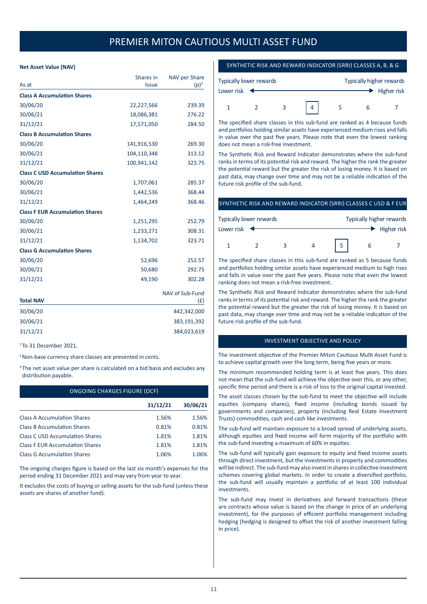#### <span id="page-11-0"></span>**Net Asset Value (NAV)**

| As at                                  | Shares in<br><b>Issue</b> | NAV per Share<br>$(p)^3$ |
|----------------------------------------|---------------------------|--------------------------|
| <b>Class A Accumulation Shares</b>     |                           |                          |
| 30/06/20                               | 22,227,566                | 239.39                   |
| 30/06/21                               | 18,086,381                | 276.22                   |
| 31/12/21                               | 17,571,050                | 284.50                   |
| <b>Class B Accumulation Shares</b>     |                           |                          |
| 30/06/20                               | 141,916,530               | 269.30                   |
| 30/06/21                               | 104,110,348               | 313.12                   |
| 31/12/21                               | 100,941,142               | 323.75                   |
| <b>Class C USD Accumulation Shares</b> |                           |                          |
| 30/06/20                               | 1,707,061                 | 285.37                   |
| 30/06/21                               | 1,442,536                 | 368.44                   |
| 31/12/21                               | 1,464,249                 | 368.46                   |
| <b>Class F EUR Accumulation Shares</b> |                           |                          |
| 30/06/20                               | 1,251,295                 | 252.79                   |
| 30/06/21                               | 1,233,271                 | 308.31                   |
| 31/12/21                               | 1,134,702                 | 323.71                   |
| <b>Class G Accumulation Shares</b>     |                           |                          |
| 30/06/20                               | 52,696                    | 252.57                   |
| 30/06/21                               | 50,680                    | 292.75                   |
| 31/12/21                               | 49,190                    | 302.28                   |
| <b>Total NAV</b>                       |                           | NAV of Sub-Fund<br>(f)   |
| 30/06/20                               |                           | 442,342,000              |
| 30/06/21                               |                           | 383,191,392              |
| 31/12/21                               |                           | 384,023,619              |

<sup>1</sup> To 31 December 2021.

<sup>2</sup> Non-base currency share classes are presented in cents.

<sup>3</sup> The net asset value per share is calculated on a bid basis and excludes any distribution payable.

| ONGOING CHARGES FIGURE (OCF)           |          |          |  |  |
|----------------------------------------|----------|----------|--|--|
|                                        | 31/12/21 | 30/06/21 |  |  |
| <b>Class A Accumulation Shares</b>     | 1.56%    | 1.56%    |  |  |
| <b>Class B Accumulation Shares</b>     | 0.81%    | 0.81%    |  |  |
| <b>Class C USD Accumulation Shares</b> | 1.81%    | 1.81%    |  |  |
| <b>Class F EUR Accumulation Shares</b> | 1.81%    | 1.81%    |  |  |
| <b>Class G Accumulation Shares</b>     | 1.06%    | 1.06%    |  |  |

The ongoing charges figure is based on the last six month's expenses for the period ending 31 December 2021 and may vary from year to year.

It excludes the costs of buying or selling assets for the sub-fund (unless these assets are shares of another fund).

#### SYNTHETIC RISK AND REWARD INDICATOR (SRRI) CLASSES A, B, & G

| <b>Typically lower rewards</b>  |  |   |  | Typically higher rewards |  |             |
|---------------------------------|--|---|--|--------------------------|--|-------------|
| Lower risk $\blacktriangleleft$ |  |   |  |                          |  | Higher risk |
|                                 |  | 2 |  |                          |  |             |

The specified share classes in this sub-fund are ranked as 4 because funds and portfolios holding similar assets have experienced medium rises and falls in value over the past five years. Please note that even the lowest ranking does not mean a risk-free investment.

The Synthetic Risk and Reward Indicator demonstrates where the sub-fund ranks in terms of its potential risk and reward. The higher the rank the greater the potential reward but the greater the risk of losing money. It is based on past data, may change over time and may not be a reliable indication of the future risk profile of the sub-fund.

### SYNTHETIC RISK AND REWARD INDICATOR (SRRI) CLASSES C USD & F EUR

| Typically lower rewards    |  |  |  | Typically higher rewards |             |
|----------------------------|--|--|--|--------------------------|-------------|
| Lower risk $\triangleleft$ |  |  |  |                          | Higher risk |
|                            |  |  |  |                          |             |

The specified share classes in this sub-fund are ranked as 5 because funds and portfolios holding similar assets have experienced medium to high rises and falls in value over the past five years. Please note that even the lowest ranking does not mean a risk-free investment.

The Synthetic Risk and Reward Indicator demonstrates where the sub-fund ranks in terms of its potential risk and reward. The higher the rank the greater the potential reward but the greater the risk of losing money. It is based on past data, may change over time and may not be a reliable indication of the future risk profile of the sub-fund.

#### INVESTMENT OBJECTIVE AND POLICY

The investment objective of the Premier Miton Cautious Multi Asset Fund is to achieve capital growth over the long term, being five years or more.

The minimum recommended holding term is at least five years. This does not mean that the sub-fund will achieve the objective over this, or any other, specific time period and there is a risk of loss to the original capital invested.

The asset classes chosen by the sub-fund to meet the objective will include equities (company shares), fixed income (including bonds issued by governments and companies), property (including Real Estate Investment Trusts) commodities, cash and cash like investments.

The sub-fund will maintain exposure to a broad spread of underlying assets, although equities and fixed income will form majority of the portfolio with the sub-fund investing a maximum of 60% in equities.

The sub-fund will typically gain exposure to equity and fixed income assets through direct investment, but the investments in property and commodities will be indirect. The sub-fund may also invest in shares in collective investment schemes covering global markets. In order to create a diversified portfolio, the sub-fund will usually maintain a portfolio of at least 100 individual investments.

The sub-fund may invest in derivatives and forward transactions (these are contracts whose value is based on the change in price of an underlying investment), for the purposes of efficient portfolio management including hedging (hedging is designed to offset the risk of another investment falling in price).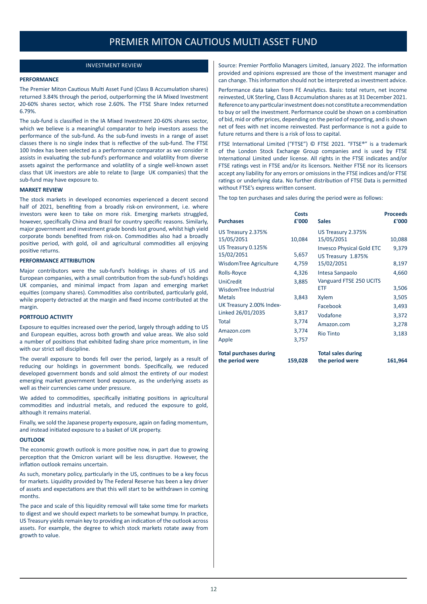#### INVESTMENT REVIEW

#### <span id="page-12-0"></span>**PERFORMANCE**

The Premier Miton Cautious Multi Asset Fund (Class B Accumulation shares) returned 3.84% through the period, outperforming the IA Mixed Investment 20-60% shares sector, which rose 2.60%. The FTSE Share Index returned 6.79%.

The sub-fund is classified in the IA Mixed Investment 20-60% shares sector, which we believe is a meaningful comparator to help investors assess the performance of the sub-fund. As the sub-fund invests in a range of asset classes there is no single index that is reflective of the sub-fund. The FTSE 100 Index has been selected as a performance comparator as we consider it assists in evaluating the sub-fund's performance and volatility from diverse assets against the performance and volatility of a single well-known asset class that UK investors are able to relate to (large UK companies) that the sub-fund may have exposure to.

#### **MARKET REVIEW**

The stock markets in developed economies experienced a decent second half of 2021, benefiting from a broadly risk-on environment, i.e. where investors were keen to take on more risk. Emerging markets struggled, however, specifically China and Brazil for country specific reasons. Similarly, major government and investment grade bonds lost ground, whilst high yield corporate bonds benefited from risk-on. Commodities also had a broadly positive period, with gold, oil and agricultural commodities all enjoying positive returns.

#### **PERFORMANCE ATTRIBUTION**

Major contributors were the sub-fund's holdings in shares of US and European companies, with a small contribution from the sub-fund's holdings UK companies, and minimal impact from Japan and emerging market equities (company shares). Commodities also contributed, particularly gold, while property detracted at the margin and fixed income contributed at the margin.

#### **PORTFOLIO ACTIVITY**

Exposure to equities increased over the period, largely through adding to US and European equities, across both growth and value areas. We also sold a number of positions that exhibited fading share price momentum, in line with our strict sell discipline.

The overall exposure to bonds fell over the period, largely as a result of reducing our holdings in government bonds. Specifically, we reduced developed government bonds and sold almost the entirety of our modest emerging market government bond exposure, as the underlying assets as well as their currencies came under pressure.

We added to commodities, specifically initiating positions in agricultural commodities and industrial metals, and reduced the exposure to gold, although it remains material.

Finally, we sold the Japanese property exposure, again on fading momentum, and instead initiated exposure to a basket of UK property.

#### **OUTLOOK**

The economic growth outlook is more positive now, in part due to growing perception that the Omicron variant will be less disruptive. However, the inflation outlook remains uncertain.

As such, monetary policy, particularly in the US, continues to be a key focus for markets. Liquidity provided by The Federal Reserve has been a key driver of assets and expectations are that this will start to be withdrawn in coming months.

The pace and scale of this liquidity removal will take some time for markets to digest and we should expect markets to be somewhat bumpy. In practice, US Treasury yields remain key to providing an indication of the outlook across assets. For example, the degree to which stock markets rotate away from growth to value.

Source: Premier Portfolio Managers Limited, January 2022. The information provided and opinions expressed are those of the investment manager and can change. This information should not be interpreted as investment advice.

Performance data taken from FE Analytics. Basis: total return, net income reinvested, UK Sterling, Class B Accumulation shares as at 31 December 2021. Reference to any particular investment does not constitute a recommendation to buy or sell the investment. Performance could be shown on a combination of bid, mid or offer prices, depending on the period of reporting, and is shown net of fees with net income reinvested. Past performance is not a guide to future returns and there is a risk of loss to capital.

FTSE International Limited ("FTSE") © FTSE 2021. "FTSE®" is a trademark of the London Stock Exchange Group companies and is used by FTSE International Limited under license. All rights in the FTSE indicates and/or FTSE ratings vest in FTSE and/or its licensors. Neither FTSE nor its licensors accept any liability for any errors or omissions in the FTSE indices and/or FTSE ratings or underlying data. No further distribution of FTSE Data is permitted without FTSE's express written consent.

The top ten purchases and sales during the period were as follows:

|                                                  | <b>Costs</b> |                                              | <b>Proceeds</b> |
|--------------------------------------------------|--------------|----------------------------------------------|-----------------|
| <b>Purchases</b>                                 | £'000        | <b>Sales</b>                                 | £'000           |
| US Treasury 2.375%                               |              | US Treasury 2.375%                           |                 |
| 15/05/2051                                       | 10,084       | 15/05/2051                                   | 10,088          |
| US Treasury 0.125%                               |              | <b>Invesco Physical Gold ETC</b>             | 9,379           |
| 15/02/2051                                       | 5,657        | US Treasury 1.875%                           |                 |
| WisdomTree Agriculture                           | 4,759        | 15/02/2051                                   | 8,197           |
| Rolls-Royce                                      | 4,326        | Intesa Sanpaolo                              | 4,660           |
| <b>UniCredit</b>                                 | 3,885        | Vanguard FTSE 250 UCITS                      |                 |
| WisdomTree Industrial                            |              | <b>ETF</b>                                   | 3,506           |
| <b>Metals</b>                                    | 3,843        | Xylem                                        | 3,505           |
| UK Treasury 2.00% Index-                         |              | Facebook                                     | 3,493           |
| Linked 26/01/2035                                | 3,817        | Vodafone                                     | 3,372           |
| Total                                            | 3,774        | Amazon.com                                   | 3,278           |
| Amazon.com                                       | 3,774        | <b>Rio Tinto</b>                             | 3,183           |
| Apple                                            | 3,757        |                                              |                 |
| <b>Total purchases during</b><br>the period were | 159,028      | <b>Total sales during</b><br>the period were | 161,964         |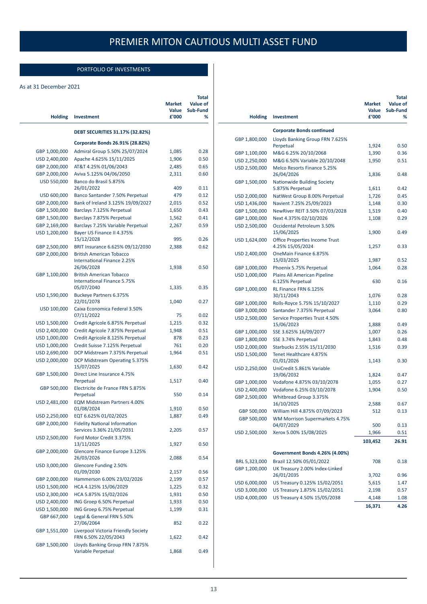### PORTFOLIO OF INVESTMENTS

#### <span id="page-13-0"></span>As at 31 December 2021

| <b>Holding</b>                 | <b>Investment</b>                                                                                  | <b>Market</b><br>Value<br>£'000 | Total<br>Value of<br>Sub-Fund<br>℅ |
|--------------------------------|----------------------------------------------------------------------------------------------------|---------------------------------|------------------------------------|
|                                | <b>DEBT SECURITIES 31.17% (32.82%)</b>                                                             |                                 |                                    |
|                                | Corporate Bonds 26.91% (28.82%)                                                                    |                                 |                                    |
| GBP 1,000,000                  | Admiral Group 5.50% 25/07/2024                                                                     | 1,085                           | 0.28                               |
| USD 2,400,000                  | Apache 4.625% 15/11/2025                                                                           | 1,906                           | 0.50                               |
| GBP 2,000,000                  | AT&T 4.25% 01/06/2043                                                                              | 2,485                           | 0.65                               |
| GBP 2,000,000                  | Aviva 5.125% 04/06/2050                                                                            | 2,311                           | 0.60                               |
| USD 550,000                    | Banco do Brasil 5.875%<br>26/01/2022                                                               | 409                             | 0.11                               |
| USD 600,000                    | Banco Santander 7.50% Perpetual                                                                    | 479                             | 0.12                               |
| GBP 2,000,000                  | Bank of Ireland 3.125% 19/09/2027                                                                  | 2,015                           | 0.52                               |
| GBP 1,500,000                  | Barclays 7.125% Perpetual                                                                          | 1,650                           | 0.43                               |
| GBP 1,500,000                  | Barclays 7.875% Perpetual                                                                          | 1,562                           | 0.41                               |
| GBP 2,169,000                  | Barclays 7.25% Variable Perpetual                                                                  | 2,267                           | 0.59                               |
| USD 1,200,000                  | Bayer US Finance II 4.375%                                                                         |                                 |                                    |
|                                | 15/12/2028                                                                                         | 995                             | 0.26                               |
| GBP 2,500,000<br>GBP 2,000,000 | BRIT Insurance 6.625% 09/12/2030<br><b>British American Tobacco</b><br>International Finance 2.25% | 2,388                           | 0.62                               |
|                                | 26/06/2028                                                                                         | 1,938                           | 0.50                               |
| GBP 1,100,000                  | <b>British American Tobacco</b><br>International Finance 5.75%                                     |                                 |                                    |
| USD 1,590,000                  | 05/07/2040<br><b>Buckeye Partners 6.375%</b>                                                       | 1,335                           | 0.35                               |
|                                | 22/01/2078                                                                                         | 1,040                           | 0.27                               |
| USD 100,000                    | Caixa Economica Federal 3.50%<br>07/11/2022                                                        | 75                              | 0.02                               |
| USD 1,500,000                  | Credit Agricole 6.875% Perpetual                                                                   | 1,215                           | 0.32                               |
| USD 2,400,000                  | Credit Agricole 7.875% Perpetual                                                                   | 1,948                           | 0.51                               |
| USD 1,000,000                  | Credit Agricole 8.125% Perpetual                                                                   | 878                             | 0.23                               |
| USD 1,000,000                  | Credit Suisse 7.125% Perpetual                                                                     | 761                             | 0.20                               |
| USD 2,690,000                  | DCP Midstream 7.375% Perpetual                                                                     | 1,964                           | 0.51                               |
| USD 2,000,000                  | DCP Midstream Operating 5.375%<br>15/07/2025                                                       | 1,630                           | 0.42                               |
| GBP 1,500,000                  | Direct Line Insurance 4.75%<br>Perpetual                                                           | 1,517                           | 0.40                               |
| GBP 500,000                    | Electricite de France FRN 5.875%<br>Perpetual                                                      | 550                             | 0.14                               |
| USD 2,481,000                  | <b>EQM Midstream Partners 4.00%</b>                                                                |                                 |                                    |
|                                | 01/08/2024                                                                                         | 1,910                           | 0.50                               |
| USD 2,250,000                  | EQT 6.625% 01/02/2025                                                                              | 1,887                           | 0.49                               |
| GBP 2,000,000                  | <b>Fidelity National Information</b>                                                               |                                 |                                    |
| USD 2,500,000                  | Services 3.36% 21/05/2031<br>Ford Motor Credit 3.375%                                              | 2,205                           | 0.57                               |
|                                | 13/11/2025                                                                                         | 1,927                           | 0.50                               |
| GBP 2,000,000                  | Glencore Finance Europe 3.125%<br>26/03/2026                                                       | 2,088                           | 0.54                               |
| USD 3,000,000                  | Glencore Funding 2.50%<br>01/09/2030                                                               | 2,157                           | 0.56                               |
| GBP 2,000,000                  | Hammerson 6.00% 23/02/2026                                                                         | 2,199                           | 0.57                               |
| USD 1,500,000                  | HCA 4.125% 15/06/2029                                                                              | 1,225                           | 0.32                               |
| USD 2,300,000                  | HCA 5.875% 15/02/2026                                                                              | 1,931                           | 0.50                               |
| USD 2,400,000                  | ING Groep 6.50% Perpetual                                                                          | 1,933                           | 0.50                               |
| USD 1,500,000                  | ING Groep 6.75% Perpetual                                                                          | 1,199                           | 0.31                               |
| GBP 667,000                    | Legal & General FRN 5.50%<br>27/06/2064                                                            | 852                             | 0.22                               |
| GBP 1,551,000                  | Liverpool Victoria Friendly Society<br>FRN 6.50% 22/05/2043                                        | 1,622                           | 0.42                               |
| GBP 1,500,000                  | Lloyds Banking Group FRN 7.875%<br>Variable Perpetual                                              | 1,868                           | 0.49                               |

|                                |                                                                  | Market<br>Value  | Total<br>Value of<br>Sub-Fund |
|--------------------------------|------------------------------------------------------------------|------------------|-------------------------------|
| <b>Holding</b>                 | <b>Investment</b>                                                | £'000            | %                             |
|                                | <b>Corporate Bonds continued</b>                                 |                  |                               |
| GBP 1,800,000                  | Lloyds Banking Group FRN 7.625%<br>Perpetual                     | 1,924            | 0.50                          |
| GBP 1,100,000                  | M&G 6.25% 20/10/2068                                             | 1,390            | 0.36                          |
| USD 2,250,000                  | M&G 6.50% Variable 20/10/2048                                    | 1,950            | 0.51                          |
| USD 2,500,000                  | Melco Resorts Finance 5.25%<br>26/04/2026                        | 1,836            | 0.48                          |
| GBP 1,500,000                  | <b>Nationwide Building Society</b><br>5.875% Perpetual           | 1,611            | 0.42                          |
| USD 2,000,000                  | NatWest Group 8.00% Perpetual                                    | 1,726            | 0.45                          |
| USD 1,436,000                  | Navient 7.25% 25/09/2023                                         | 1,148            | 0.30                          |
| GBP 1,500,000                  | NewRiver REIT 3.50% 07/03/2028                                   | 1,519            | 0.40                          |
| GBP 1,000,000                  | Next 4.375% 02/10/2026                                           | 1,108            | 0.29                          |
| USD 2,500,000                  | Occidental Petroleum 3.50%                                       |                  |                               |
|                                | 15/06/2025                                                       | 1,900            | 0.49                          |
| USD 1,624,000                  | <b>Office Properties Income Trust</b><br>4.25% 15/05/2024        | 1,257            | 0.33                          |
| USD 2,400,000                  | OneMain Finance 6.875%<br>15/03/2025                             |                  |                               |
|                                |                                                                  | 1,987            | 0.52<br>0.28                  |
| GBP 1,000,000<br>USD 1,000,000 | Phoenix 5.75% Perpetual<br>Plains All American Pipeline          | 1,064            |                               |
|                                | 6.125% Perpetual                                                 | 630              | 0.16                          |
| GBP 1,000,000                  | RL Finance FRN 6.125%<br>30/11/2043                              | 1,076            | 0.28                          |
| GBP 1,000,000                  | Rolls-Royce 5.75% 15/10/2027                                     | 1,110            | 0.29                          |
| GBP 3,000,000                  | Santander 7.375% Perpetual                                       | 3,064            | 0.80                          |
| USD 2,500,000                  | Service Properties Trust 4.50%<br>15/06/2023                     | 1,888            | 0.49                          |
| GBP 1,000,000                  | SSE 3.625% 16/09/2077                                            | 1,007            | 0.26                          |
| GBP 1,800,000                  | SSE 3.74% Perpetual                                              | 1,843            | 0.48                          |
| USD 2,000,000                  | Starbucks 2.55% 15/11/2030                                       | 1,516            | 0.39                          |
| USD 1,500,000                  | Tenet Healthcare 4.875%<br>01/01/2026                            | 1,143            | 0.30                          |
| USD 2,250,000                  | UniCredit 5.861% Variable                                        |                  | 0.47                          |
|                                | 19/06/2032                                                       | 1,824<br>1,055   | 0.27                          |
| GBP 1,000,000<br>USD 2,400,000 | Vodafone 4.875% 03/10/2078<br>Vodafone 6.25% 03/10/2078          |                  |                               |
| GBP 2,500,000                  | Whitbread Group 3.375%                                           | 1,904            | 0.50                          |
|                                | 16/10/2025                                                       | 2,588            | 0.67                          |
| GBP 500,000<br>GBP 500,000     | William Hill 4.875% 07/09/2023<br>WM Morrison Supermarkets 4.75% | 512              | 0.13                          |
|                                | 04/07/2029                                                       | 500              | 0.13                          |
| USD 2,500,000                  | Xerox 5.00% 15/08/2025                                           | 1,966<br>103,452 | 0.51<br>26.91                 |
|                                |                                                                  |                  |                               |
|                                | Government Bonds 4.26% (4.00%)                                   |                  |                               |
| BRL 5,323,000<br>GBP 1,200,000 | Brazil 12.50% 05/01/2022<br>UK Treasury 2.00% Index-Linked       | 708              | 0.18                          |
|                                | 26/01/2035                                                       | 3,702            | 0.96                          |
| USD 6,000,000                  | US Treasury 0.125% 15/02/2051                                    | 5,615            | 1.47                          |
| USD 3,000,000                  | US Treasury 1.875% 15/02/2051                                    | 2,198            | 0.57                          |
| USD 4,000,000                  | US Treasury 4.50% 15/05/2038                                     | 4,148            | 1.08                          |
|                                |                                                                  | 16,371           | 4.26                          |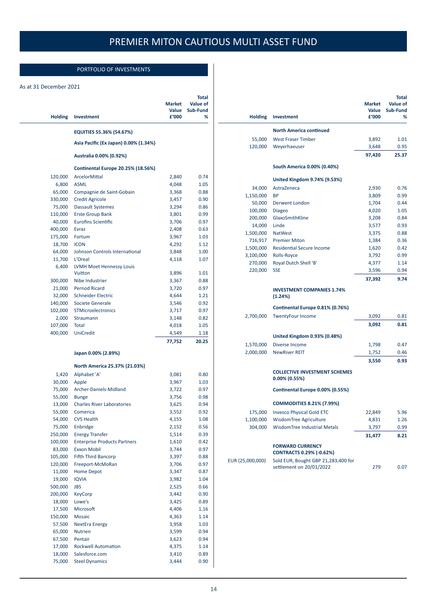### PORTFOLIO OF INVESTMENTS

#### As at 31 December 2021

| <b>Holding</b>   | <b>Investment</b>                         | Market<br>Value<br>£'000 | Total<br><b>Value of</b><br>Sub-Fund<br>% |
|------------------|-------------------------------------------|--------------------------|-------------------------------------------|
|                  | EQUITIES 55.36% (54.67%)                  |                          |                                           |
|                  | Asia Pacific (Ex Japan) 0.00% (1.34%)     |                          |                                           |
|                  | Australia 0.00% (0.92%)                   |                          |                                           |
|                  | <b>Continental Europe 20.25% (18.56%)</b> |                          |                                           |
| 120,000          | ArcelorMittal                             | 2,840                    | 0.74                                      |
| 6,800            | <b>ASML</b>                               | 4,048                    | 1.05                                      |
| 65,000           | Compagnie de Saint-Gobain                 | 3,368                    | 0.88                                      |
| 330,000          | <b>Credit Agricole</b>                    | 3,457                    | 0.90                                      |
| 75,000           | Dassault Systemes                         | 3,294                    | 0.86                                      |
| 110,000          | <b>Erste Group Bank</b>                   | 3,801                    | 0.99                                      |
| 40,000           | Eurofins Scientific                       | 3,706                    | 0.97                                      |
| 400,000          | <b>Evraz</b>                              | 2,408                    | 0.63                                      |
| 175,000          | Fortum                                    | 3,967                    | 1.03                                      |
| 18,700           | <b>ICON</b>                               | 4,292                    | 1.12                                      |
| 64,000           | Johnson Controls International            | 3,848                    | 1.00                                      |
| 11,700           | L'Oreal                                   | 4,118                    | 1.07                                      |
| 6,400            | <b>LVMH Moet Hennessy Louis</b>           |                          |                                           |
|                  | Vuitton                                   | 3,896                    | 1.01                                      |
| 300,000          | Nibe Industrier                           | 3,367                    | 0.88                                      |
| 21,000           | <b>Pernod Ricard</b>                      | 3,720                    | 0.97                                      |
| 32,000           | <b>Schneider Electric</b>                 | 4,644                    | 1.21                                      |
| 140,000          | Societe Generale                          | 3,546                    | 0.92                                      |
| 102,000          | STMicroelectronics                        | 3,717                    | 0.97                                      |
| 2,000            | Straumann                                 | 3,148                    | 0.82                                      |
| 107,000          | Total                                     | 4,018                    | 1.05                                      |
| 400,000          | <b>UniCredit</b>                          | 4,549                    | 1.18                                      |
|                  |                                           | 77,752                   | 20.25                                     |
|                  | Japan 0.00% (2.89%)                       |                          |                                           |
|                  | North America 25.37% (21.03%)             |                          |                                           |
| 1,420            | Alphabet 'A'                              | 3,081                    | 0.80                                      |
| 30,000           | Apple                                     | 3,967                    | 1.03                                      |
| 75,000           | Archer-Daniels-Midland                    | 3,722                    | 0.97                                      |
| 55,000           | <b>Bunge</b>                              | 3,756                    | 0.98                                      |
| 13,000           | <b>Charles River Laboratories</b>         | 3,625                    | 0.94                                      |
| 55,000           | Comerica                                  | 3,552                    | 0.92                                      |
| 54,000           | <b>CVS Health</b>                         | 4,155                    | 1.08                                      |
| 75,000           | Enbridge                                  | 2,152                    | 0.56                                      |
| 250,000          | <b>Energy Transfer</b>                    | 1,514                    | 0.39                                      |
| 100,000          | <b>Enterprise Products Partners</b>       | 1,610                    | 0.42                                      |
| 83,000           | <b>Exxon Mobil</b>                        | 3,744                    | 0.97                                      |
| 105,000          | <b>Fifth Third Bancorp</b>                | 3,397                    | 0.88                                      |
| 120,000          | Freeport-McMoRan                          | 3,706                    | 0.97                                      |
| 11,000           | <b>Home Depot</b>                         | 3,347                    | 0.87                                      |
| 19,000           | <b>IQVIA</b>                              | 3,982                    | 1.04                                      |
| 500,000          | <b>JBS</b>                                | 2,525                    | 0.66                                      |
| 200,000          | <b>KeyCorp</b>                            | 3,442                    | 0.90                                      |
| 18,000           | Lowe's                                    | 3,425                    | 0.89                                      |
| 17,500           | Microsoft                                 | 4,406                    | 1.16                                      |
| 150,000          | <b>Mosaic</b>                             | 4,363                    | 1.14                                      |
| 57,500<br>65,000 | <b>NextEra Energy</b><br>Nutrien          | 3,958<br>3,599           | 1.03<br>0.94                              |
| 67,500           | Pentair                                   | 3,623                    | 0.94                                      |
| 17,000           | <b>Rockwell Automation</b>                | 4,375                    | 1.14                                      |
| 18,000           | Salesforce.com                            | 3,410                    | 0.89                                      |
| 75,000           | <b>Steel Dynamics</b>                     | 3,444                    | 0.90                                      |
|                  |                                           |                          |                                           |

| <b>Holding</b>   | <b>Investment</b>                                               | <b>Market</b><br>Value<br>£'000 | Total<br>Value of<br>Sub-Fund<br>℅ |
|------------------|-----------------------------------------------------------------|---------------------------------|------------------------------------|
|                  | <b>North America continued</b>                                  |                                 |                                    |
| 55,000           | <b>West Fraser Timber</b>                                       | 3,892                           | 1.01                               |
| 120,000          | Weyerhaeuser                                                    | 3,648                           | 0.95                               |
|                  |                                                                 | 97,420                          | 25.37                              |
|                  | South America 0.00% (0.40%)                                     |                                 |                                    |
|                  | United Kingdom 9.74% (9.53%)                                    |                                 |                                    |
| 34,000           | AstraZeneca                                                     | 2,930                           | 0.76                               |
| 1,150,000        | <b>BP</b>                                                       | 3,809                           | 0.99                               |
| 50,000           | Derwent London                                                  | 1,704                           | 0.44                               |
| 100,000          | <b>Diageo</b>                                                   | 4,020                           | 1.05                               |
| 200,000          | GlaxoSmithKline                                                 | 3,208                           | 0.84                               |
| 14,000           | Linde                                                           | 3,577                           | 0.93                               |
| 1,500,000        | <b>NatWest</b>                                                  | 3,375                           | 0.88                               |
| 716,917          | <b>Premier Miton</b>                                            | 1,384                           | 0.36                               |
| 1,500,000        | <b>Residential Secure Income</b>                                | 1,620                           | 0.42                               |
| 3,100,000        | Rolls-Royce                                                     | 3,792                           | 0.99                               |
| 270,000          | Royal Dutch Shell 'B'                                           | 4,377                           | 1.14                               |
| 220,000          | <b>SSE</b>                                                      | 3,596                           | 0.94                               |
|                  |                                                                 | 37,392                          | 9.74                               |
|                  | <b>INVESTMENT COMPANIES 1.74%</b><br>(1.24%)                    |                                 |                                    |
|                  | Continental Europe 0.81% (0.76%)                                |                                 |                                    |
| 2,700,000        | <b>TwentyFour Income</b>                                        | 3,092                           | 0.81                               |
|                  |                                                                 | 3,092                           | 0.81                               |
|                  | United Kingdom 0.93% (0.48%)                                    |                                 |                                    |
| 1,570,000        | Diverse Income                                                  | 1,798                           | 0.47                               |
| 2,000,000        | <b>NewRiver REIT</b>                                            | 1,752                           | 0.46                               |
|                  |                                                                 | 3,550                           | 0.93                               |
|                  | <b>COLLECTIVE INVESTMENT SCHEMES</b><br>$0.00\%$ (0.55%)        |                                 |                                    |
|                  | Continental Europe 0.00% (0.55%)                                |                                 |                                    |
|                  | <b>COMMODITIES 8.21% (7.99%)</b>                                |                                 |                                    |
|                  | 175,000 Invesco Physical Gold ETC                               | 22,849                          | 5.96                               |
| 1,100,000        | WisdomTree Agriculture                                          | 4,831                           | 1.26                               |
| 304,000          | WisdomTree Industrial Metals                                    | 3,797                           | 0.99                               |
|                  |                                                                 | 31,477                          | 8.21                               |
|                  | <b>FORWARD CURRENCY</b><br><b>CONTRACTS 0.29% (-0.62%)</b>      |                                 |                                    |
| EUR (25,000,000) | Sold EUR, Bought GBP 21,283,400 for<br>settlement on 20/01/2022 | 279                             | 0.07                               |
|                  |                                                                 |                                 |                                    |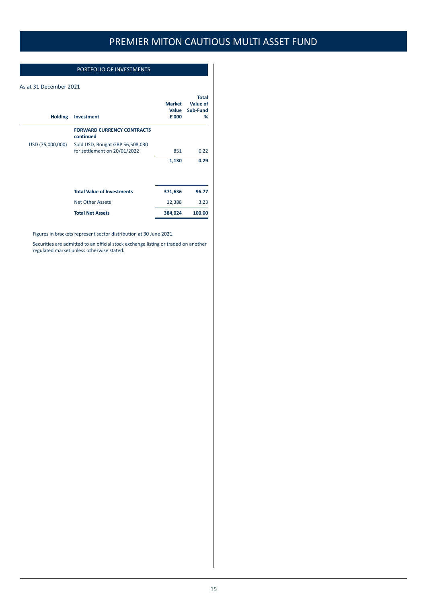### PORTFOLIO OF INVESTMENTS

#### As at 31 December 2021

| <b>Holding</b>   | <b>Investment</b>                                               | <b>Market</b><br>Value<br>£'000 | <b>Total</b><br>Value of<br>Sub-Fund<br>% |
|------------------|-----------------------------------------------------------------|---------------------------------|-------------------------------------------|
|                  | <b>FORWARD CURRENCY CONTRACTS</b><br>continued                  |                                 |                                           |
| USD (75,000,000) | Sold USD, Bought GBP 56,508,030<br>for settlement on 20/01/2022 | 851                             | 0.22                                      |
|                  |                                                                 |                                 |                                           |
|                  |                                                                 | 1,130                           | 0.29                                      |
|                  | <b>Total Value of Investments</b>                               | 371,636                         | 96.77                                     |
|                  | <b>Net Other Assets</b>                                         | 12,388                          | 3.23                                      |
|                  | <b>Total Net Assets</b>                                         | 384,024                         | 100.00                                    |

Figures in brackets represent sector distribution at 30 June 2021.

Securities are admitted to an official stock exchange listing or traded on another regulated market unless otherwise stated.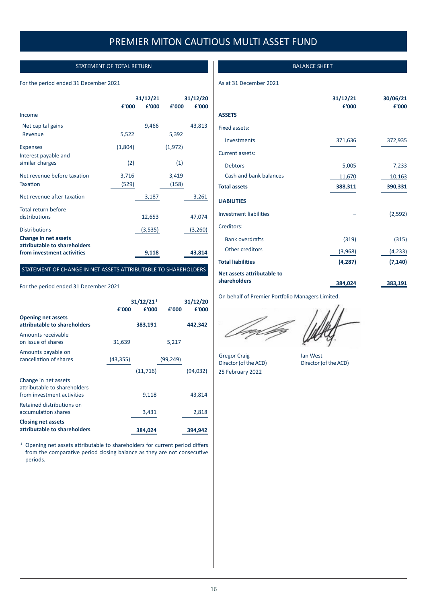### STATEMENT OF TOTAL RETURN

#### <span id="page-16-0"></span>For the period ended 31 December 2021

|                                                                                    | 31/12/21 |         | 31/12/20 |         |
|------------------------------------------------------------------------------------|----------|---------|----------|---------|
|                                                                                    | £'000    | £'000   | £'000    | £'000   |
| Income                                                                             |          |         |          |         |
| Net capital gains                                                                  |          | 9,466   |          | 43,813  |
| Revenue                                                                            | 5,522    |         | 5,392    |         |
| <b>Expenses</b>                                                                    | (1,804)  |         | (1, 972) |         |
| Interest payable and<br>similar charges                                            | (2)      |         | (1)      |         |
| Net revenue before taxation                                                        | 3,716    |         | 3,419    |         |
| <b>Taxation</b>                                                                    | (529)    |         | (158)    |         |
| Net revenue after taxation                                                         |          | 3,187   |          | 3,261   |
| Total return before<br>distributions                                               |          | 12,653  |          | 47,074  |
| <b>Distributions</b>                                                               |          | (3,535) |          | (3,260) |
| Change in net assets<br>attributable to shareholders<br>from investment activities |          | 9,118   |          | 43,814  |

#### STATEMENT OF CHANGE IN NET ASSETS ATTRIBUTABLE TO SHAREHOLDERS

#### For the period ended 31 December 2021

|                                                                                    | £'000     | 31/12/21 <sup>1</sup><br>£'000 | £'000    | 31/12/20<br>£'000 |
|------------------------------------------------------------------------------------|-----------|--------------------------------|----------|-------------------|
| <b>Opening net assets</b><br>attributable to shareholders                          |           | 383,191                        |          | 442,342           |
| Amounts receivable<br>on issue of shares                                           | 31,639    |                                | 5,217    |                   |
| Amounts payable on<br>cancellation of shares                                       | (43, 355) |                                | (99,249) |                   |
|                                                                                    |           | (11, 716)                      |          | (94, 032)         |
| Change in net assets<br>attributable to shareholders<br>from investment activities |           | 9,118                          |          | 43,814            |
| Retained distributions on<br>accumulation shares                                   |           | 3,431                          |          | 2,818             |
| <b>Closing net assets</b><br>attributable to shareholders                          |           | 384,024                        |          | 394,942           |

<sup>1</sup> Opening net assets attributable to shareholders for current period differs from the comparative period closing balance as they are not consecutive periods.

#### BALANCE SHEET

#### As at 31 December 2021

|                                            | 31/12/21<br>£'000 | 30/06/21<br>£'000 |
|--------------------------------------------|-------------------|-------------------|
| <b>ASSETS</b>                              |                   |                   |
| Fixed assets:                              |                   |                   |
| Investments                                | 371,636           | 372,935           |
| <b>Current assets:</b>                     |                   |                   |
| <b>Debtors</b>                             | 5,005             | 7,233             |
| Cash and bank balances                     | 11,670            | 10,163            |
| <b>Total assets</b>                        | 388,311           | 390,331           |
| <b>LIABILITIES</b>                         |                   |                   |
| <b>Investment liabilities</b>              |                   | (2, 592)          |
| Creditors:                                 |                   |                   |
| <b>Bank overdrafts</b>                     | (319)             | (315)             |
| Other creditors                            | (3,968)           | (4, 233)          |
| <b>Total liabilities</b>                   | (4, 287)          | (7, 140)          |
| Net assets attributable to<br>shareholders | 384,024           | 383,191           |

On behalf of Premier Portfolio Managers Limited.

Gregor Craig lan West<br>Director (of the ACD) Director (of the ACD) Director (of the ACD) 25 February 2022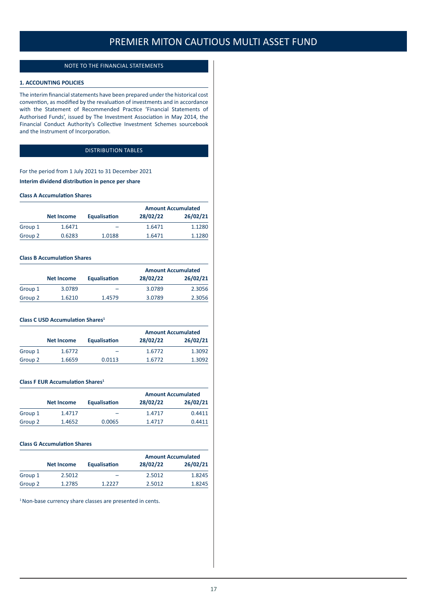#### NOTE TO THE FINANCIAL STATEMENTS

#### <span id="page-17-0"></span>**1. ACCOUNTING POLICIES**

The interim financial statements have been prepared under the historical cost convention, as modified by the revaluation of investments and in accordance with the Statement of Recommended Practice 'Financial Statements of Authorised Funds', issued by The Investment Association in May 2014, the Financial Conduct Authority's Collective Investment Schemes sourcebook and the Instrument of Incorporation.

### DISTRIBUTION TABLES

For the period from 1 July 2021 to 31 December 2021 **Interim dividend distribution in pence per share**

#### **Class A Accumulation Shares**

|         |            |              | <b>Amount Accumulated</b> |          |
|---------|------------|--------------|---------------------------|----------|
|         | Net Income | Equalisation | 28/02/22                  | 26/02/21 |
| Group 1 | 1.6471     |              | 1.6471                    | 1.1280   |
| Group 2 | 0.6283     | 1.0188       | 1.6471                    | 1.1280   |

#### **Class B Accumulation Shares**

|         |                   |              | <b>Amount Accumulated</b> |          |
|---------|-------------------|--------------|---------------------------|----------|
|         | <b>Net Income</b> | Equalisation | 28/02/22                  | 26/02/21 |
| Group 1 | 3.0789            | -            | 3.0789                    | 2.3056   |
| Group 2 | 1.6210            | 1.4579       | 3.0789                    | 2.3056   |

#### **Class C USD Accumulation Shares<sup>1</sup>**

|         |                   |              |          | <b>Amount Accumulated</b> |
|---------|-------------------|--------------|----------|---------------------------|
|         | <b>Net Income</b> | Equalisation | 28/02/22 | 26/02/21                  |
| Group 1 | 1.6772            | -            | 1.6772   | 1.3092                    |
| Group 2 | 1.6659            | 0.0113       | 1.6772   | 1.3092                    |

#### **Class F EUR Accumulation Shares<sup>1</sup>**

|         |            |                     | <b>Amount Accumulated</b> |          |
|---------|------------|---------------------|---------------------------|----------|
|         | Net Income | <b>Equalisation</b> | 28/02/22                  | 26/02/21 |
| Group 1 | 1.4717     |                     | 1.4717                    | 0.4411   |
| Group 2 | 1.4652     | 0.0065              | 1.4717                    | 0.4411   |

#### **Class G Accumulation Shares**

|         |                   |              |          | <b>Amount Accumulated</b> |
|---------|-------------------|--------------|----------|---------------------------|
|         | <b>Net Income</b> | Equalisation | 28/02/22 | 26/02/21                  |
| Group 1 | 2.5012            | -            | 2.5012   | 1.8245                    |
| Group 2 | 1.2785            | 1 2227       | 2.5012   | 1.8245                    |

<sup>1</sup> Non-base currency share classes are presented in cents.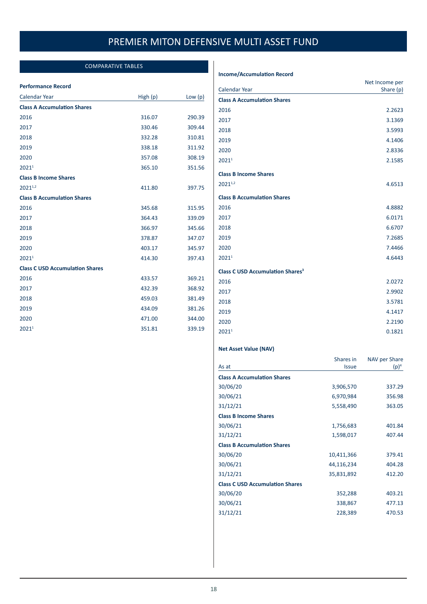### COMPARATIVE TABLES

#### <span id="page-18-0"></span>**Performance Record**

| <b>Calendar Year</b>                   | High (p) | Low $(p)$ |
|----------------------------------------|----------|-----------|
| <b>Class A Accumulation Shares</b>     |          |           |
| 2016                                   | 316.07   | 290.39    |
| 2017                                   | 330.46   | 309.44    |
| 2018                                   | 332.28   | 310.81    |
| 2019                                   | 338.18   | 311.92    |
| 2020                                   | 357.08   | 308.19    |
| 20211                                  | 365.10   | 351.56    |
| <b>Class B Income Shares</b>           |          |           |
| 20211,2                                | 411.80   | 397.75    |
| <b>Class B Accumulation Shares</b>     |          |           |
| 2016                                   | 345.68   | 315.95    |
| 2017                                   | 364.43   | 339.09    |
| 2018                                   | 366.97   | 345.66    |
| 2019                                   | 378.87   | 347.07    |
| 2020                                   | 403.17   | 345.97    |
| 20211                                  | 414.30   | 397.43    |
| <b>Class C USD Accumulation Shares</b> |          |           |
| 2016                                   | 433.57   | 369.21    |
| 2017                                   | 432.39   | 368.92    |
| 2018                                   | 459.03   | 381.49    |
| 2019                                   | 434.09   | 381.26    |
| 2020                                   | 471.00   | 344.00    |
| 2021 <sup>1</sup>                      | 351.81   | 339.19    |

#### **Income/Accumulation Record**

|                                                    | Net Income per |
|----------------------------------------------------|----------------|
| <b>Calendar Year</b>                               | Share (p)      |
| <b>Class A Accumulation Shares</b>                 |                |
| 2016                                               | 2.2623         |
| 2017                                               | 3.1369         |
| 2018                                               | 3.5993         |
| 2019                                               | 4.1406         |
| 2020                                               | 2.8336         |
| 20211                                              | 2.1585         |
| <b>Class B Income Shares</b>                       |                |
| $2021^{1,2}$                                       | 4.6513         |
| <b>Class B Accumulation Shares</b>                 |                |
| 2016                                               | 4.8882         |
| 2017                                               | 6.0171         |
| 2018                                               | 6.6707         |
| 2019                                               | 7.2685         |
| 2020                                               | 7.4466         |
| 20211                                              | 4.6443         |
| <b>Class C USD Accumulation Shares<sup>3</sup></b> |                |
| 2016                                               | 2.0272         |
| 2017                                               | 2.9902         |
| 2018                                               | 3.5781         |
| 2019                                               | 4.1417         |
| 2020                                               | 2.2190         |
| 2021 <sup>1</sup>                                  | 0.1821         |

#### **Net Asset Value (NAV)**

|                                        | Shares in    | NAV per Share |
|----------------------------------------|--------------|---------------|
| As at                                  | <b>Issue</b> | $(p)^4$       |
| <b>Class A Accumulation Shares</b>     |              |               |
| 30/06/20                               | 3,906,570    | 337.29        |
| 30/06/21                               | 6,970,984    | 356.98        |
| 31/12/21                               | 5,558,490    | 363.05        |
| <b>Class B Income Shares</b>           |              |               |
| 30/06/21                               | 1,756,683    | 401.84        |
| 31/12/21                               | 1,598,017    | 407.44        |
| <b>Class B Accumulation Shares</b>     |              |               |
| 30/06/20                               | 10,411,366   | 379.41        |
| 30/06/21                               | 44,116,234   | 404.28        |
| 31/12/21                               | 35,831,892   | 412.20        |
| <b>Class C USD Accumulation Shares</b> |              |               |
| 30/06/20                               | 352,288      | 403.21        |
| 30/06/21                               | 338,867      | 477.13        |
| 31/12/21                               | 228,389      | 470.53        |
|                                        |              |               |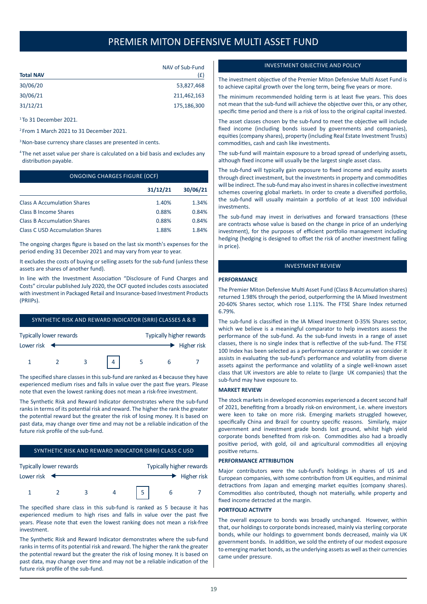<span id="page-19-0"></span>

|                  | NAV of Sub-Fund |
|------------------|-----------------|
| <b>Total NAV</b> | (f)             |
| 30/06/20         | 53,827,468      |
| 30/06/21         | 211,462,163     |
| 31/12/21         | 175,186,300     |

<sup>1</sup> To 31 December 2021.

- <sup>2</sup> From 1 March 2021 to 31 December 2021.
- <sup>3</sup> Non-base currency share classes are presented in cents.
- <sup>4</sup> The net asset value per share is calculated on a bid basis and excludes any distribution payable.

#### ONGOING CHARGES FIGURE (OCF)

|                                        | 31/12/21 | 30/06/21 |
|----------------------------------------|----------|----------|
| <b>Class A Accumulation Shares</b>     | 1.40%    | 1.34%    |
| <b>Class B Income Shares</b>           | 0.88%    | 0.84%    |
| <b>Class B Accumulation Shares</b>     | 0.88%    | 0.84%    |
| <b>Class C USD Accumulation Shares</b> | 1.88%    | 1.84%    |

The ongoing charges figure is based on the last six month's expenses for the period ending 31 December 2021 and may vary from year to year.

It excludes the costs of buying or selling assets for the sub-fund (unless these assets are shares of another fund).

In line with the Investment Association "Disclosure of Fund Charges and Costs" circular published July 2020, the OCF quoted includes costs associated with investment in Packaged Retail and Insurance-based Investment Products (PRIIPs).

| SYNTHETIC RISK AND REWARD INDICATOR (SRRI) CLASSES A & B |  |                |  |  |                                 |                                   |  |
|----------------------------------------------------------|--|----------------|--|--|---------------------------------|-----------------------------------|--|
| Typically lower rewards                                  |  |                |  |  | <b>Typically higher rewards</b> |                                   |  |
| Lower risk $\blacktriangleleft$                          |  |                |  |  |                                 | $\blacktriangleright$ Higher risk |  |
|                                                          |  | 3 <sup>1</sup> |  |  |                                 |                                   |  |

The specified share classes in this sub-fund are ranked as 4 because they have experienced medium rises and falls in value over the past five years. Please note that even the lowest ranking does not mean a risk-free investment.

The Synthetic Risk and Reward Indicator demonstrates where the sub-fund ranks in terms of its potential risk and reward. The higher the rank the greater the potential reward but the greater the risk of losing money. It is based on past data, may change over time and may not be a reliable indication of the future risk profile of the sub-fund.

#### SYNTHETIC RISK AND REWARD INDICATOR (SRRI) CLASS C USD

| Typically lower rewards |  |  | Typically higher rewards |   |             |
|-------------------------|--|--|--------------------------|---|-------------|
| Lower risk              |  |  |                          |   | Higher risk |
|                         |  |  |                          | b |             |

The specified share class in this sub-fund is ranked as 5 because it has experienced medium to high rises and falls in value over the past five years. Please note that even the lowest ranking does not mean a risk-free investment.

The Synthetic Risk and Reward Indicator demonstrates where the sub-fund ranks in terms of its potential risk and reward. The higher the rank the greater the potential reward but the greater the risk of losing money. It is based on past data, may change over time and may not be a reliable indication of the future risk profile of the sub-fund.

#### INVESTMENT OBJECTIVE AND POLICY

The investment objective of the Premier Miton Defensive Multi Asset Fund is to achieve capital growth over the long term, being five years or more.

The minimum recommended holding term is at least five years. This does not mean that the sub-fund will achieve the objective over this, or any other, specific time period and there is a risk of loss to the original capital invested.

The asset classes chosen by the sub-fund to meet the objective will include fixed income (including bonds issued by governments and companies), equities (company shares), property (including Real Estate Investment Trusts) commodities, cash and cash like investments.

The sub-fund will maintain exposure to a broad spread of underlying assets, although fixed income will usually be the largest single asset class.

The sub-fund will typically gain exposure to fixed income and equity assets through direct investment, but the investments in property and commodities will be indirect. The sub-fund may also invest in shares in collective investment schemes covering global markets. In order to create a diversified portfolio, the sub-fund will usually maintain a portfolio of at least 100 individual investments.

The sub-fund may invest in derivatives and forward transactions (these are contracts whose value is based on the change in price of an underlying investment), for the purposes of efficient portfolio management including hedging (hedging is designed to offset the risk of another investment falling in price).

#### INVESTMENT REVIEW

#### **PERFORMANCE**

The Premier Miton Defensive Multi Asset Fund (Class B Accumulation shares) returned 1.98% through the period, outperforming the IA Mixed Investment 20-60% Shares sector, which rose 1.11%. The FTSE Share Index returned 6.79%.

The sub-fund is classified in the IA Mixed Investment 0-35% Shares sector, which we believe is a meaningful comparator to help investors assess the performance of the sub-fund. As the sub-fund invests in a range of asset classes, there is no single index that is reflective of the sub-fund. The FTSE 100 Index has been selected as a performance comparator as we consider it assists in evaluating the sub-fund's performance and volatility from diverse assets against the performance and volatility of a single well-known asset class that UK investors are able to relate to (large UK companies) that the sub-fund may have exposure to.

#### **MARKET REVIEW**

The stock markets in developed economies experienced a decent second half of 2021, benefiting from a broadly risk-on environment, i.e. where investors were keen to take on more risk. Emerging markets struggled however, specifically China and Brazil for country specific reasons. Similarly, major government and investment grade bonds lost ground, whilst high yield corporate bonds benefited from risk-on. Commodities also had a broadly positive period, with gold, oil and agricultural commodities all enjoying positive returns.

#### **PERFORMANCE ATTRIBUTION**

Major contributors were the sub-fund's holdings in shares of US and European companies, with some contribution from UK equities, and minimal detractions from Japan and emerging market equities (company shares). Commodities also contributed, though not materially, while property and fixed income detracted at the margin.

#### **PORTFOLIO ACTIVITY**

The overall exposure to bonds was broadly unchanged. However, within that, our holdings to corporate bonds increased, mainly via sterling corporate bonds, while our holdings to government bonds decreased, mainly via UK government bonds. In addition, we sold the entirety of our modest exposure to emerging market bonds, as the underlying assets as well as their currencies came under pressure.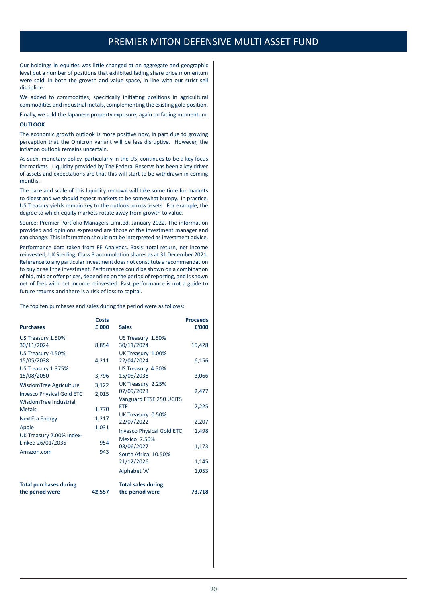Our holdings in equities was little changed at an aggregate and geographic level but a number of positions that exhibited fading share price momentum were sold, in both the growth and value space, in line with our strict sell discipline

We added to commodities, specifically initiating positions in agricultural commodities and industrial metals, complementing the existing gold position.

Finally, we sold the Japanese property exposure, again on fading momentum.

#### **OUTLOOK**

The economic growth outlook is more positive now, in part due to growing perception that the Omicron variant will be less disruptive. However, the inflation outlook remains uncertain.

As such, monetary policy, particularly in the US, continues to be a key focus for markets. Liquidity provided by The Federal Reserve has been a key driver of assets and expectations are that this will start to be withdrawn in coming months.

The pace and scale of this liquidity removal will take some time for markets to digest and we should expect markets to be somewhat bumpy. In practice, US Treasury yields remain key to the outlook across assets. For example, the degree to which equity markets rotate away from growth to value.

Source: Premier Portfolio Managers Limited, January 2022. The information provided and opinions expressed are those of the investment manager and can change. This information should not be interpreted as investment advice.

Performance data taken from FE Analytics. Basis: total return, net income reinvested, UK Sterling, Class B accumulation shares as at 31 December 2021. Reference to any particular investment does not constitute a recommendation to buy or sell the investment. Performance could be shown on a combination of bid, mid or offer prices, depending on the period of reporting, and is shown net of fees with net income reinvested. Past performance is not a guide to future returns and there is a risk of loss to capital.

The top ten purchases and sales during the period were as follows:

| <b>Purchases</b>                                                                                       | Costs<br>£'000               | <b>Sales</b>                                                                                                                                           | <b>Proceeds</b><br>£'000                  |
|--------------------------------------------------------------------------------------------------------|------------------------------|--------------------------------------------------------------------------------------------------------------------------------------------------------|-------------------------------------------|
| US Treasury 1.50%<br>30/11/2024<br>US Treasury 4.50%<br>15/05/2038<br>US Treasury 1.375%<br>15/08/2050 | 8,854<br>4,211<br>3,796      | US Treasury 1.50%<br>30/11/2024<br>UK Treasury 1.00%<br>22/04/2024<br>US Treasury 4.50%<br>15/05/2038                                                  | 15,428<br>6,156<br>3,066                  |
| WisdomTree Agriculture<br><b>Invesco Physical Gold ETC</b><br>WisdomTree Industrial<br><b>Metals</b>   | 3,122<br>2,015<br>1,770      | UK Treasury 2.25%<br>07/09/2023<br>Vanguard FTSE 250 UCITS<br><b>ETF</b>                                                                               | 2,477<br>2,225                            |
| <b>NextEra Energy</b><br>Apple<br>UK Treasury 2.00% Index-<br>Linked 26/01/2035<br>Amazon.com          | 1,217<br>1,031<br>954<br>943 | UK Treasury 0.50%<br>22/07/2022<br><b>Invesco Physical Gold ETC</b><br>Mexico 7.50%<br>03/06/2027<br>South Africa 10.50%<br>21/12/2026<br>Alphabet 'A' | 2,207<br>1,498<br>1,173<br>1,145<br>1,053 |
| <b>Total purchases during</b><br>the period were                                                       | 42,557                       | <b>Total sales during</b><br>the period were                                                                                                           | 73,718                                    |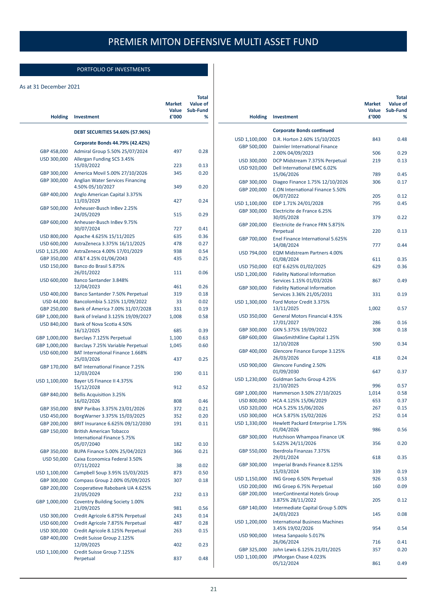### PORTFOLIO OF INVESTMENTS

#### <span id="page-21-0"></span>As at 31 December 2021

| <b>Holding</b>             | Investment                                                          | <b>Market</b><br>Value<br>£'000 | <b>Total</b><br>Value of<br>Sub-Fund<br>% |
|----------------------------|---------------------------------------------------------------------|---------------------------------|-------------------------------------------|
|                            | <b>DEBT SECURITIES 54.60% (57.96%)</b>                              |                                 |                                           |
|                            | Corporate Bonds 44.79% (42.42%)                                     |                                 |                                           |
| GBP 458,000                | Admiral Group 5.50% 25/07/2024                                      | 497                             | 0.28                                      |
| USD 300,000                | Allergan Funding SCS 3.45%                                          |                                 |                                           |
|                            | 15/03/2022                                                          | 223                             | 0.13                                      |
| GBP 300,000                | America Movil 5.00% 27/10/2026                                      | 345                             | 0.20                                      |
| GBP 300,000                | <b>Anglian Water Services Financing</b><br>4.50% 05/10/2027         | 349                             | 0.20                                      |
| GBP 400,000                | Anglo American Capital 3.375%<br>11/03/2029                         | 427                             | 0.24                                      |
| GBP 500,000                | Anheuser-Busch InBev 2.25%<br>24/05/2029                            | 515                             | 0.29                                      |
| GBP 600,000                | Anheuser-Busch InBev 9.75%<br>30/07/2024                            | 727                             | 0.41                                      |
| USD 800,000                | Apache 4.625% 15/11/2025                                            | 635                             | 0.36                                      |
| USD 600,000                | AstraZeneca 3.375% 16/11/2025                                       | 478                             | 0.27                                      |
| USD 1,125,000              | AstraZeneca 4.00% 17/01/2029                                        | 938                             | 0.54                                      |
| GBP 350,000                | AT&T 4.25% 01/06/2043                                               | 435                             | 0.25                                      |
| USD 150,000                | Banco do Brasil 5.875%                                              |                                 |                                           |
| USD 600,000                | 26/01/2022<br>Banco Santander 3.848%                                | 111                             | 0.06                                      |
|                            | 12/04/2023                                                          | 461                             | 0.26                                      |
| USD 400,000                | Banco Santander 7.50% Perpetual                                     | 319                             | 0.18                                      |
| USD 44,000                 | Bancolombia 5.125% 11/09/2022                                       | 33                              | 0.02                                      |
| GBP 250,000                | Bank of America 7.00% 31/07/2028                                    | 331                             | 0.19                                      |
| GBP 1,000,000              | Bank of Ireland 3.125% 19/09/2027                                   | 1,008                           | 0.58                                      |
| USD 840,000                | Bank of Nova Scotia 4.50%<br>16/12/2025                             | 685                             | 0.39                                      |
| GBP 1,000,000              | Barclays 7.125% Perpetual                                           | 1,100                           | 0.63                                      |
| GBP 1,000,000              | Barclays 7.25% Variable Perpetual                                   | 1,045                           | 0.60                                      |
| USD 600,000                | <b>BAT International Finance 1.668%</b><br>25/03/2026               | 437                             | 0.25                                      |
| GBP 170,000                | <b>BAT International Finance 7.25%</b><br>12/03/2024                | 190                             | 0.11                                      |
| USD 1,100,000              | Bayer US Finance II 4.375%                                          | 912                             | 0.52                                      |
| GBP 840,000                | 15/12/2028<br><b>Bellis Acquisition 3.25%</b>                       |                                 |                                           |
|                            | 16/02/2026                                                          | 808                             | 0.46                                      |
| GBP 350,000                | BNP Paribas 3.375% 23/01/2026                                       | 372<br>352                      | 0.21<br>0.20                              |
| USD 450,000                | BorgWarner 3.375% 15/03/2025                                        |                                 |                                           |
| GBP 200,000<br>GBP 150,000 | BRIT Insurance 6.625% 09/12/2030<br><b>British American Tobacco</b> | 191                             | 0.11                                      |
|                            | International Finance 5.75%<br>05/07/2040                           | 182                             | 0.10                                      |
| GBP 350,000                | BUPA Finance 5.00% 25/04/2023                                       | 366                             | 0.21                                      |
| USD 50,000                 | Caixa Economica Federal 3.50%<br>07/11/2022                         | 38                              | 0.02                                      |
| USD 1,100,000              | Campbell Soup 3.95% 15/03/2025                                      | 873                             | 0.50                                      |
| GBP 300,000                | Compass Group 2.00% 05/09/2025                                      | 307                             | 0.18                                      |
| GBP 200,000                | Cooperatieve Rabobank UA 4.625%<br>23/05/2029                       | 232                             | 0.13                                      |
| GBP 1,000,000              | <b>Coventry Building Society 1.00%</b>                              |                                 |                                           |
|                            | 21/09/2025                                                          | 981                             | 0.56                                      |
| USD 300,000<br>USD 600,000 | Credit Agricole 6.875% Perpetual                                    | 243                             | 0.14<br>0.28                              |
|                            | Credit Agricole 7.875% Perpetual                                    | 487                             |                                           |
| USD 300,000<br>GBP 400,000 | Credit Agricole 8.125% Perpetual<br>Credit Suisse Group 2.125%      | 263                             | 0.15                                      |
| USD 1,100,000              | 12/09/2025<br>Credit Suisse Group 7.125%                            | 402                             | 0.23                                      |
|                            | Perpetual                                                           | 837                             | 0.48                                      |

| <b>Holding</b>               | Investment                                                        | <b>Market</b><br>Value<br>£'000 | Total<br>Value of<br>Sub-Fund<br>% |
|------------------------------|-------------------------------------------------------------------|---------------------------------|------------------------------------|
|                              | <b>Corporate Bonds continued</b>                                  |                                 |                                    |
| USD 1,100,000                | D.R. Horton 2.60% 15/10/2025                                      | 843                             | 0.48                               |
| GBP 500,000                  | Daimler International Finance<br>2.00% 04/09/2023                 | 506                             | 0.29                               |
|                              | DCP Midstream 7.375% Perpetual                                    | 219                             | 0.13                               |
| USD 300,000<br>USD 920,000   | Dell International EMC 6.02%                                      |                                 |                                    |
|                              | 15/06/2026                                                        | 789                             | 0.45                               |
| GBP 300,000                  | Diageo Finance 1.75% 12/10/2026                                   | 306                             | 0.17                               |
| GBP 200,000                  | <b>E.ON International Finance 5.50%</b><br>06/07/2022             | 205                             | 0.12                               |
| USD 1,100,000                | EDP 1.71% 24/01/2028                                              | 795                             | 0.45                               |
| GBP 300,000                  | Electricite de France 6.25%<br>30/05/2028                         | 379                             | 0.22                               |
| GBP 200,000                  | Electricite de France FRN 5.875%                                  |                                 |                                    |
| GBP 700,000                  | Perpetual<br>Enel Finance International 5.625%                    | 220                             | 0.13                               |
|                              | 14/08/2024                                                        | 777                             | 0.44                               |
| USD 794,000                  | <b>EQM Midstream Partners 4.00%</b><br>01/08/2024                 | 611                             | 0.35                               |
| USD 750,000                  | EQT 6.625% 01/02/2025                                             | 629                             | 0.36                               |
| USD 1,200,000                | <b>Fidelity National Information</b><br>Services 1.15% 01/03/2026 | 867                             | 0.49                               |
| GBP 300,000                  | <b>Fidelity National Information</b>                              |                                 |                                    |
| USD 1,300,000                | Services 3.36% 21/05/2031<br>Ford Motor Credit 3.375%             | 331                             | 0.19                               |
|                              | 13/11/2025                                                        | 1,002                           | 0.57                               |
| USD 350,000                  | <b>General Motors Financial 4.35%</b><br>17/01/2027               | 286                             | 0.16                               |
| GBP 300,000                  | GKN 5.375% 19/09/2022                                             | 308                             | 0.18                               |
| GBP 600,000                  | GlaxoSmithKline Capital 1.25%<br>12/10/2028                       | 590                             | 0.34                               |
| GBP 400,000                  | Glencore Finance Europe 3.125%<br>26/03/2026                      | 418                             | 0.24                               |
| USD 900,000                  | Glencore Funding 2.50%<br>01/09/2030                              | 647                             | 0.37                               |
| USD 1,230,000                | Goldman Sachs Group 4.25%<br>21/10/2025                           | 996                             | 0.57                               |
| GBP 1,000,000                | Hammerson 3.50% 27/10/2025                                        | 1,014                           | 0.58                               |
| USD 800,000                  | HCA 4.125% 15/06/2029                                             | 653                             | 0.37                               |
| USD 320,000                  | HCA 5.25% 15/06/2026                                              | 267                             | 0.15                               |
|                              | USD 300,000 HCA 5.875% 15/02/2026                                 | 252                             | 0.14                               |
| USD 1,330,000                | Hewlett Packard Enterprise 1.75%<br>01/04/2026                    | 986                             | 0.56                               |
| GBP 300,000                  | Hutchison Whampoa Finance UK<br>5.625% 24/11/2026                 | 356                             | 0.20                               |
| GBP 550,000                  | Iberdrola Finanzas 7.375%<br>29/01/2024                           | 618                             | 0.35                               |
| GBP 300,000                  | Imperial Brands Finance 8.125%<br>15/03/2024                      | 339                             | 0.19                               |
| USD 1,150,000                | ING Groep 6.50% Perpetual                                         | 926                             | 0.53                               |
| USD 200,000                  | ING Groep 6.75% Perpetual                                         | 160                             | 0.09                               |
| GBP 200,000                  | <b>InterContinental Hotels Group</b><br>3.875% 28/11/2022         | 205                             | 0.12                               |
| GBP 140,000                  | Intermediate Capital Group 5.00%<br>24/03/2023                    | 145                             | 0.08                               |
| USD 1,200,000                | <b>International Business Machines</b><br>3.45% 19/02/2026        | 954                             | 0.54                               |
| USD 900,000                  | Intesa Sanpaolo 5.017%                                            |                                 |                                    |
|                              | 26/06/2024                                                        | 716                             | 0.41                               |
| GBP 325,000<br>USD 1,100,000 | John Lewis 6.125% 21/01/2025<br>JPMorgan Chase 4.023%             | 357                             | 0.20                               |
|                              | 05/12/2024                                                        | 861                             | 0.49                               |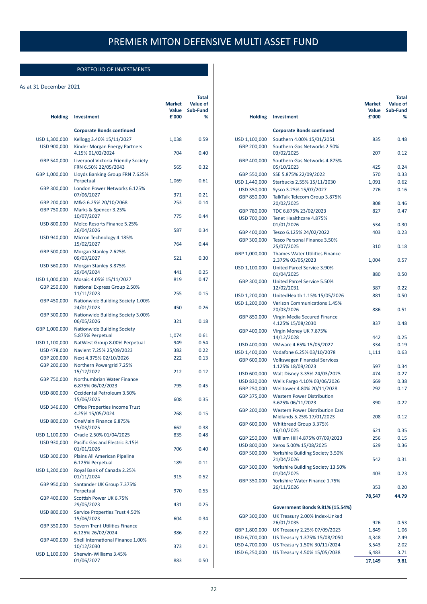### PORTFOLIO OF INVESTMENTS

#### As at 31 December 2021

| <b>Holding</b>               | <b>Investment</b>                                                             | <b>Market</b><br>Value<br>£'000 | <b>Total</b><br><b>Value of</b><br>Sub-Fund<br>% |
|------------------------------|-------------------------------------------------------------------------------|---------------------------------|--------------------------------------------------|
|                              |                                                                               |                                 |                                                  |
|                              | <b>Corporate Bonds continued</b>                                              |                                 |                                                  |
| USD 1,300,000<br>USD 900,000 | Kellogg 3.40% 15/11/2027<br>Kinder Morgan Energy Partners<br>4.15% 01/02/2024 | 1,038<br>704                    | 0.59<br>0.40                                     |
| GBP 540,000                  | Liverpool Victoria Friendly Society<br>FRN 6.50% 22/05/2043                   | 565                             | 0.32                                             |
| GBP 1,000,000                | Lloyds Banking Group FRN 7.625%<br>Perpetual                                  | 1,069                           | 0.61                                             |
| GBP 300,000                  | London Power Networks 6.125%<br>07/06/2027                                    | 371                             | 0.21                                             |
| GBP 200,000                  | M&G 6.25% 20/10/2068                                                          | 253                             | 0.14                                             |
| GBP 750,000                  | Marks & Spencer 3.25%<br>10/07/2027                                           | 775                             | 0.44                                             |
| USD 800,000                  | Melco Resorts Finance 5.25%<br>26/04/2026                                     | 587                             | 0.34                                             |
| USD 940,000                  | Micron Technology 4.185%<br>15/02/2027                                        | 764                             | 0.44                                             |
| GBP 500,000                  | Morgan Stanley 2.625%<br>09/03/2027                                           | 521                             | 0.30                                             |
| USD 560,000                  | Morgan Stanley 3.875%<br>29/04/2024                                           | 441                             | 0.25                                             |
| USD 1,000,000                | Mosaic 4.05% 15/11/2027                                                       | 819                             | 0.47                                             |
| GBP 250,000                  | National Express Group 2.50%<br>11/11/2023                                    | 255                             | 0.15                                             |
| GBP 450,000                  | Nationwide Building Society 1.00%<br>24/01/2023                               | 450                             | 0.26                                             |
| GBP 300,000                  | Nationwide Building Society 3.00%<br>06/05/2026                               | 321                             | 0.18                                             |
| GBP 1,000,000                | Nationwide Building Society<br>5.875% Perpetual                               | 1,074                           | 0.61                                             |
| USD 1,100,000                | NatWest Group 8.00% Perpetual                                                 | 949                             | 0.54                                             |
| USD 478,000                  | Navient 7.25% 25/09/2023                                                      | 382                             | 0.22                                             |
| GBP 200,000                  | Next 4.375% 02/10/2026                                                        | 222                             | 0.13                                             |
| GBP 200,000                  | Northern Powergrid 7.25%<br>15/12/2022                                        | 212                             | 0.12                                             |
| GBP 750,000                  | Northumbrian Water Finance<br>6.875% 06/02/2023                               | 795                             | 0.45                                             |
| USD 800,000                  | Occidental Petroleum 3.50%<br>15/06/2025                                      | 608                             | 0.35                                             |
| USD 346,000                  | <b>Office Properties Income Trust</b><br>4.25% 15/05/2024                     | 268                             | 0.15                                             |
| USD 800,000                  | OneMain Finance 6.875%<br>15/03/2025                                          | 662                             | 0.38                                             |
| USD 1,100,000                | Oracle 2.50% 01/04/2025                                                       | 835                             | 0.48                                             |
| USD 930,000                  | Pacific Gas and Electric 3.15%<br>01/01/2026                                  | 706                             | 0.40                                             |
| USD 300,000                  | Plains All American Pipeline<br>6.125% Perpetual                              | 189                             | 0.11                                             |
| USD 1,200,000                | Royal Bank of Canada 2.25%<br>01/11/2024                                      | 915                             | 0.52                                             |
| GBP 950,000                  | Santander UK Group 7.375%<br>Perpetual                                        | 970                             | 0.55                                             |
| GBP 400,000                  | Scottish Power UK 6.75%<br>29/05/2023                                         | 431                             | 0.25                                             |
| USD 800,000                  | Service Properties Trust 4.50%<br>15/06/2023                                  | 604                             | 0.34                                             |
| GBP 350,000                  | Severn Trent Utilities Finance<br>6.125% 26/02/2024                           | 386                             | 0.22                                             |
| GBP 400,000                  | Shell International Finance 1.00%<br>10/12/2030                               | 373                             | 0.21                                             |
| USD 1,100,000                | Sherwin-Williams 3.45%<br>01/06/2027                                          | 883                             | 0.50                                             |
|                              |                                                                               |                                 |                                                  |

| <b>Holding</b>                 | Investment                                                                           | <b>Market</b><br>Value<br>£'000 | Total<br>Value of<br>Sub-Fund<br>% |
|--------------------------------|--------------------------------------------------------------------------------------|---------------------------------|------------------------------------|
|                                | <b>Corporate Bonds continued</b>                                                     |                                 |                                    |
| USD 1,100,000                  | Southern 4.00% 15/01/2051                                                            | 835                             | 0.48                               |
| GBP 200,000                    | Southern Gas Networks 2.50%<br>03/02/2025                                            | 207                             | 0.12                               |
| GBP 400,000                    | Southern Gas Networks 4.875%<br>05/10/2023                                           | 425                             | 0.24                               |
| GBP 550,000                    | SSE 5.875% 22/09/2022                                                                | 570                             | 0.33                               |
| USD 1,440,000                  | Starbucks 2.55% 15/11/2030                                                           | 1,091                           | 0.62                               |
| USD 350,000                    | Sysco 3.25% 15/07/2027                                                               | 276                             | 0.16                               |
| GBP 850,000                    | TalkTalk Telecom Group 3.875%<br>20/02/2025                                          | 808                             | 0.46                               |
| GBP 780,000                    | TDC 6.875% 23/02/2023                                                                | 827                             | 0.47                               |
| USD 700,000                    | Tenet Healthcare 4.875%<br>01/01/2026                                                | 534                             | 0.30                               |
| GBP 400,000                    | Tesco 6.125% 24/02/2022                                                              | 403                             | 0.23                               |
| GBP 300,000                    | <b>Tesco Personal Finance 3.50%</b><br>25/07/2025                                    | 310                             | 0.18                               |
| GBP 1,000,000                  | <b>Thames Water Utilities Finance</b><br>2.375% 03/05/2023                           | 1,004                           | 0.57                               |
| USD 1,100,000                  | United Parcel Service 3.90%<br>01/04/2025                                            | 880                             | 0.50                               |
| GBP 300,000                    | United Parcel Service 5.50%<br>12/02/2031                                            | 387                             | 0.22                               |
| USD 1,200,000                  | UnitedHealth 1.15% 15/05/2026                                                        | 881                             | 0.50                               |
| USD 1,200,000                  | <b>Verizon Communications 1.45%</b><br>20/03/2026                                    | 886                             | 0.51                               |
| GBP 850,000                    | Virgin Media Secured Finance<br>4.125% 15/08/2030                                    | 837                             | 0.48                               |
| GBP 400,000                    | Virgin Money UK 7.875%<br>14/12/2028                                                 | 442                             | 0.25                               |
| USD 400,000                    | VMware 4.65% 15/05/2027                                                              | 334                             | 0.19                               |
| USD 1,400,000<br>GBP 600,000   | Vodafone 6.25% 03/10/2078<br><b>Volkswagen Financial Services</b>                    | 1,111                           | 0.63                               |
|                                | 1.125% 18/09/2023                                                                    | 597                             | 0.34                               |
| USD 600,000                    | Walt Disney 3.35% 24/03/2025                                                         | 474                             | 0.27                               |
| USD 830,000                    | Wells Fargo 4.10% 03/06/2026                                                         | 669                             | 0.38                               |
| GBP 250,000<br>GBP 375,000     | Welltower 4.80% 20/11/2028<br><b>Western Power Distribution</b><br>3.625% 06/11/2023 | 292<br>390                      | 0.17<br>0.22                       |
| GBP 200,000                    | <b>Western Power Distribution East</b>                                               | 208                             | 0.12                               |
| GBP 600,000                    | Midlands 5.25% 1//01/2023<br>Whitbread Group 3.375%<br>16/10/2025                    | 621                             | 0.35                               |
| GBP 250,000                    | William Hill 4.875% 07/09/2023                                                       | 256                             | 0.15                               |
| USD 800,000                    | Xerox 5.00% 15/08/2025                                                               | 629                             | 0.36                               |
| GBP 500,000                    | Yorkshire Building Society 3.50%<br>21/04/2026                                       | 542                             | 0.31                               |
| GBP 300,000                    | Yorkshire Building Society 13.50%<br>01/04/2025                                      | 403                             | 0.23                               |
| GBP 350,000                    | Yorkshire Water Finance 1.75%<br>26/11/2026                                          | 353                             | 0.20                               |
|                                |                                                                                      | 78,547                          | 44.79                              |
|                                |                                                                                      |                                 |                                    |
| GBP 300,000                    | Government Bonds 9.81% (15.54%)<br>UK Treasury 2.00% Index-Linked                    |                                 |                                    |
|                                | 26/01/2035                                                                           | 926                             | 0.53                               |
| GBP 1,800,000                  | UK Treasury 2.25% 07/09/2023                                                         | 1,849                           | 1.06                               |
| USD 6,700,000                  | US Treasury 1.375% 15/08/2050                                                        | 4,348                           | 2.49                               |
| USD 4,700,000<br>USD 6,250,000 | US Treasury 1.50% 30/11/2024<br>US Treasury 4.50% 15/05/2038                         | 3,543<br>6,483                  | 2.02<br>3.71                       |
|                                |                                                                                      | 17,149                          | 9.81                               |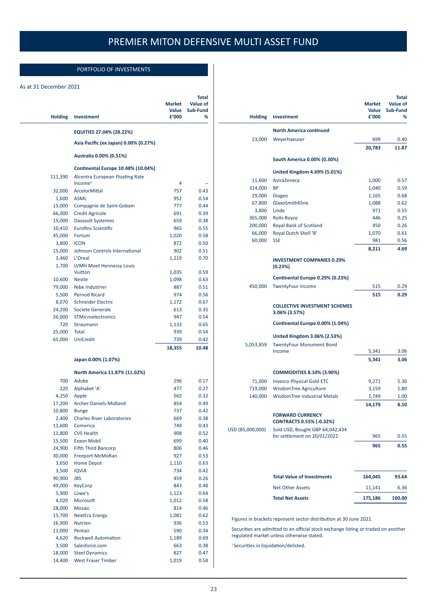### PORTFOLIO OF INVESTMENTS

#### As at 31 December 2021

| <b>Holding</b> | Investment                                             | Market<br>Value<br>£'000 | Total<br><b>Value of</b><br>Sub-Fund<br>℅ |
|----------------|--------------------------------------------------------|--------------------------|-------------------------------------------|
|                | EQUITIES 27.04% (28.22%)                               |                          |                                           |
|                | Asia Pacific (ex Japan) 0.00% (0.27%)                  |                          |                                           |
|                | Australia 0.00% (0.51%)                                |                          |                                           |
|                | Continental Europe 10.48% (10.04%)                     |                          |                                           |
| 111,390        | Alcentra European Floating Rate<br>Income <sup>1</sup> | 4                        |                                           |
| 32,000         | ArcelorMittal                                          | 757                      | 0.43                                      |
| 1,600          | ASML                                                   | 952                      | 0.54                                      |
| 15,000         | Compagnie de Saint-Gobain                              | 777                      | 0.44                                      |
| 66,000         | <b>Credit Agricole</b>                                 | 691                      | 0.39                                      |
| 15,000         | <b>Dassault Systemes</b>                               | 659                      | 0.38                                      |
| 10,410         | <b>Eurofins Scientific</b>                             | 965                      | 0.55                                      |
| 45,000         | Fortum                                                 | 1,020                    | 0.58                                      |
| 3,800          | <b>ICON</b>                                            | 872                      | 0.50                                      |
| 15,000         | Johnson Controls International                         | 902                      | 0.51                                      |
| 3,460          | L'Oreal                                                | 1,219                    | 0.70                                      |
| 1,700          | <b>LVMH Moet Hennessy Louis</b>                        |                          |                                           |
|                | Vuitton                                                | 1,035                    | 0.59                                      |
| 10,600         | <b>Nestle</b>                                          | 1,098                    | 0.63                                      |
| 79,000         | Nibe Industrier                                        | 887                      | 0.51                                      |
| 5,500          | <b>Pernod Ricard</b>                                   | 974                      | 0.56                                      |
| 8,070          | <b>Schneider Electric</b>                              | 1,172                    | 0.67                                      |
| 24,200         | Societe Generale                                       | 613                      | 0.35                                      |
| 26,000         | STMicroelectronics                                     | 947                      | 0.54                                      |
| 720            | Straumann                                              | 1,133                    | 0.65                                      |
| 25,000         | Total                                                  | 939                      | 0.54                                      |
| 65,000         | <b>UniCredit</b>                                       | 739                      | 0.42                                      |
|                |                                                        | 18,355                   | 10.48                                     |
|                | Japan 0.00% (1.07%)                                    |                          |                                           |
|                | North America 11.87% (11.02%)                          |                          |                                           |
| 700            | Adobe                                                  | 296                      | 0.17                                      |
| 220            | Alphabet 'A'                                           | 477                      | 0.27                                      |
| 4,250          | Apple                                                  | 562                      | 0.32                                      |
| 17,200         | Archer-Daniels-Midland                                 | 854                      | 0.49                                      |
| 10,800         | <b>Bunge</b>                                           | 737                      | 0.42                                      |
| 2,400          | <b>Charles River Laboratories</b>                      | 669                      | 0.38                                      |
| 11,600         | Comerica                                               | 749                      | 0.43                                      |
| 11,800         | <b>CVS Health</b>                                      | 908                      | 0.52                                      |
| 15,500         | <b>Exxon Mobil</b>                                     | 699                      | 0.40                                      |
| 24,900         | <b>Fifth Third Bancorp</b>                             | 806                      | 0.46                                      |
| 30,000         | Freeport-McMoRan                                       | 927                      | 0.53                                      |
| 3,650          | <b>Home Depot</b>                                      | 1,110                    | 0.63                                      |
| 3,500          | <b>IQVIA</b>                                           | 734                      | 0.42                                      |
| 90,900         | <b>JBS</b>                                             | 459                      | 0.26                                      |
| 49,000         | <b>KeyCorp</b>                                         | 843                      | 0.48                                      |
| 5,900          | Lowe's                                                 | 1,123                    | 0.64                                      |
| 4,020          | Microsoft                                              | 1,012                    | 0.58                                      |
| 28,000         | <b>Mosaic</b>                                          | 814                      | 0.46                                      |
| 15,700         | <b>NextEra Energy</b>                                  | 1,081                    | 0.62                                      |
| 16,900         | Nutrien                                                | 936                      | 0.53                                      |
| 11,000         | Pentair                                                | 590                      | 0.34                                      |
| 4,620          | <b>Rockwell Automation</b>                             | 1,189                    | 0.69                                      |
| 3,500          | Salesforce.com                                         | 663                      | 0.38                                      |
| 18,000         | <b>Steel Dynamics</b>                                  | 827                      | 0.47                                      |
| 14,400         | <b>West Fraser Timber</b>                              | 1,019                    | 0.58                                      |
|                |                                                        |                          |                                           |

| <b>Holding</b>   | Investment                                                                                                                      | <b>Market</b><br>Value<br>£'000 | Total<br>Value of<br>Sub-Fund<br>% |
|------------------|---------------------------------------------------------------------------------------------------------------------------------|---------------------------------|------------------------------------|
|                  |                                                                                                                                 |                                 |                                    |
|                  | <b>North America continued</b>                                                                                                  |                                 |                                    |
| 23,000           | Weyerhaeuser                                                                                                                    | 699                             | 0.40                               |
|                  |                                                                                                                                 | 20,783                          | 11.87                              |
|                  | South America 0.00% (0.30%)                                                                                                     |                                 |                                    |
|                  | United Kingdom 4.69% (5.01%)                                                                                                    |                                 |                                    |
| 11,600           | AstraZeneca                                                                                                                     | 1,000                           | 0.57                               |
| 314,000          | <b>BP</b>                                                                                                                       | 1,040                           | 0.59                               |
| 29,000           | <b>Diageo</b>                                                                                                                   | 1,165                           | 0.68                               |
| 67,800           | GlaxoSmithKline                                                                                                                 | 1,088                           | 0.62                               |
| 3,800            | Linde                                                                                                                           | 971                             | 0.55                               |
| 365,000          | Rolls-Royce                                                                                                                     | 446                             | 0.25                               |
| 200,000          | Royal Bank of Scotland                                                                                                          | 450                             | 0.26                               |
| 66,000           | Royal Dutch Shell 'B'                                                                                                           | 1,070                           | 0.61                               |
| 60,000           | <b>SSE</b>                                                                                                                      | 981                             | 0.56                               |
|                  |                                                                                                                                 | 8,211                           | 4.69                               |
|                  | <b>INVESTMENT COMPANIES 0.29%</b><br>(0.23%)                                                                                    |                                 |                                    |
|                  | Continental Europe 0.29% (0.23%)                                                                                                |                                 |                                    |
| 450,000          | <b>TwentyFour Income</b>                                                                                                        | 515                             | 0.29                               |
|                  |                                                                                                                                 | 515                             | 0.29                               |
|                  | <b>COLLECTIVE INVESTMENT SCHEMES</b><br>3.06% (3.57%)                                                                           |                                 |                                    |
|                  | Continental Europe 0.00% (1.04%)                                                                                                |                                 |                                    |
|                  | United Kingdom 3.06% (2.53%)                                                                                                    |                                 |                                    |
| 5,053,859        | <b>TwentyFour Monument Bond</b>                                                                                                 |                                 |                                    |
|                  | Income                                                                                                                          | 5,341                           | 3.06                               |
|                  |                                                                                                                                 | 5,341                           | 3.06                               |
|                  | <b>COMMODITIES 8.10% (3.90%)</b>                                                                                                |                                 |                                    |
| 71,000           | <b>Invesco Physical Gold ETC</b>                                                                                                | 9,271                           | 5.30                               |
| 719,000          | WisdomTree Agriculture                                                                                                          | 3,159                           | 1.80                               |
| 140,000          | <b>WisdomTree Industrial Metals</b>                                                                                             | 1,749                           | 1.00                               |
|                  |                                                                                                                                 | 14,179                          | 8.10                               |
|                  | <b>FORWARD CURRENCY</b>                                                                                                         |                                 |                                    |
|                  | <b>CONTRACTS 0.55% (-0.32%)</b>                                                                                                 |                                 |                                    |
| USD (85,000,000) | Sold USD, Bought GBP 64,042,434                                                                                                 |                                 |                                    |
|                  | for settlement on 20/01/2022                                                                                                    | 965                             | 0.55                               |
|                  |                                                                                                                                 | 965                             | 0.55                               |
|                  |                                                                                                                                 |                                 |                                    |
|                  | <b>Total Value of Investments</b>                                                                                               | 164,045                         | 93.64                              |
|                  | <b>Net Other Assets</b>                                                                                                         | 11,141                          | 6.36                               |
|                  | <b>Total Net Assets</b>                                                                                                         | 175,186                         | 100.00                             |
|                  |                                                                                                                                 |                                 |                                    |
|                  |                                                                                                                                 |                                 |                                    |
|                  | Figures in brackets represent sector distribution at 30 June 2021.                                                              |                                 |                                    |
|                  | Securities are admitted to an official stock exchange listing or traded on another<br>regulated market unless otherwise stated. |                                 |                                    |

<sup>1</sup> Securities in liquidation/delisted.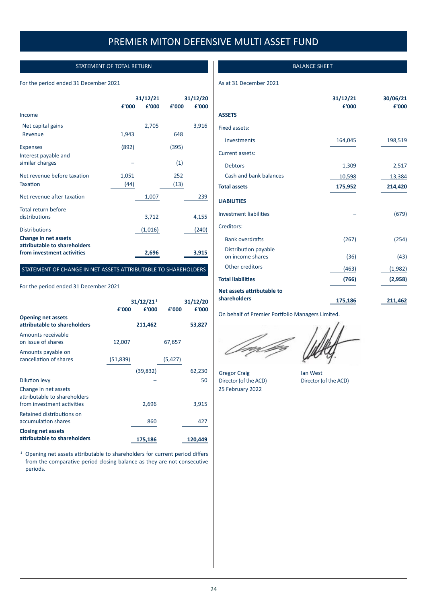### STATEMENT OF TOTAL RETURN

#### <span id="page-24-0"></span>For the period ended 31 December 2021

|                                                      |       | 31/12/21 |       | 31/12/20 |
|------------------------------------------------------|-------|----------|-------|----------|
|                                                      | £'000 | £'000    | £'000 | £'000    |
| Income                                               |       |          |       |          |
| Net capital gains                                    |       | 2,705    |       | 3,916    |
| Revenue                                              | 1,943 |          | 648   |          |
| <b>Expenses</b>                                      | (892) |          | (395) |          |
| Interest payable and                                 |       |          |       |          |
| similar charges                                      |       |          | (1)   |          |
| Net revenue before taxation                          | 1,051 |          | 252   |          |
| Taxation                                             | (44)  |          | (13)  |          |
| Net revenue after taxation                           |       | 1,007    |       | 239      |
| Total return before                                  |       |          |       |          |
| distributions                                        |       | 3,712    |       | 4,155    |
| <b>Distributions</b>                                 |       | (1,016)  |       | (240)    |
| Change in net assets<br>attributable to shareholders |       |          |       |          |
| from investment activities                           |       | 2,696    |       | 3,915    |

#### STATEMENT OF CHANGE IN NET ASSETS ATTRIBUTABLE TO SHAREHOLDERS

#### For the period ended 31 December 2021

|                                                                                    | £'000     | 31/12/21 <sup>1</sup><br>£'000 | £'000    | 31/12/20<br>£'000 |
|------------------------------------------------------------------------------------|-----------|--------------------------------|----------|-------------------|
| <b>Opening net assets</b><br>attributable to shareholders                          |           | 211,462                        |          | 53,827            |
| Amounts receivable<br>on issue of shares                                           | 12,007    |                                | 67,657   |                   |
| Amounts payable on<br>cancellation of shares                                       | (51, 839) |                                | (5, 427) |                   |
|                                                                                    |           | (39, 832)                      |          | 62,230            |
| <b>Dilution levy</b>                                                               |           |                                |          | 50                |
| Change in net assets<br>attributable to shareholders<br>from investment activities |           | 2,696                          |          | 3,915             |
| Retained distributions on<br>accumulation shares                                   |           | 860                            |          | 427               |
| <b>Closing net assets</b><br>attributable to shareholders                          |           | 175,186                        |          | 120,449           |

<sup>1</sup> Opening net assets attributable to shareholders for current period differs from the comparative period closing balance as they are not consecutive periods.

#### BALANCE SHEET

#### As at 31 December 2021

|                               | 31/12/21<br>£'000 | 30/06/21<br>£'000 |
|-------------------------------|-------------------|-------------------|
| <b>ASSETS</b>                 |                   |                   |
| Fixed assets:                 |                   |                   |
| Investments                   | 164,045           | 198,519           |
| Current assets:               |                   |                   |
| <b>Debtors</b>                | 1,309             | 2,517             |
| Cash and bank balances        | 10,598            | 13,384            |
| <b>Total assets</b>           | 175,952           | 214,420           |
| <b>LIABILITIES</b>            |                   |                   |
| <b>Investment liabilities</b> |                   | (679)             |
| Creditors:                    |                   |                   |
| <b>Bank overdrafts</b>        | (267)             | (254)             |
| Distribution payable          |                   |                   |
| on income shares              | (36)              | (43)              |
| Other creditors               | (463)             | (1,982)           |
| <b>Total liabilities</b>      | (766)             | (2,958)           |
| Net assets attributable to    |                   |                   |
| shareholders                  | 175,186           | 211,462           |

On behalf of Premier Portfolio Managers Limited.

25 February 2022

Gregor Craig lan West<br>Director (of the ACD) Director (of Director (of the ACD)